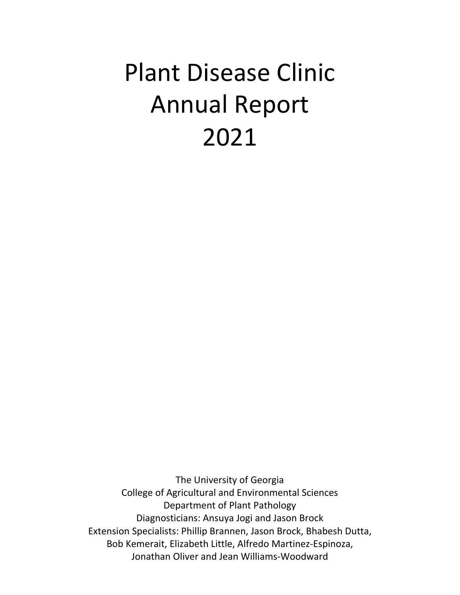# Plant Disease Clinic Annual Report 2021

The University of Georgia College of Agricultural and Environmental Sciences Department of Plant Pathology Diagnosticians: Ansuya Jogi and Jason Brock Extension Specialists: Phillip Brannen, Jason Brock, Bhabesh Dutta, Bob Kemerait, Elizabeth Little, Alfredo Martinez-Espinoza, Jonathan Oliver and Jean Williams-Woodward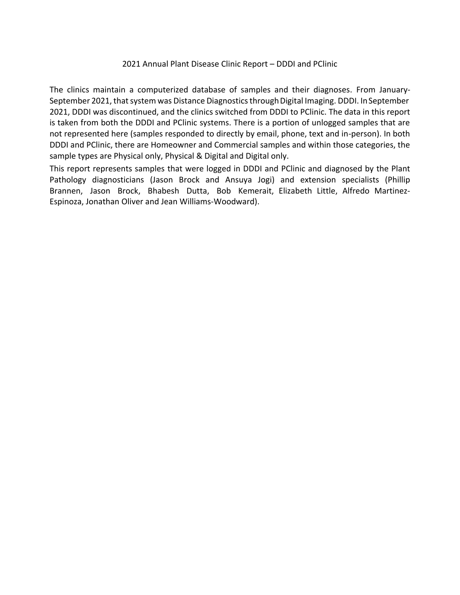#### 2021 Annual Plant Disease Clinic Report – DDDI and PClinic

The clinics maintain a computerized database of samples and their diagnoses. From January-September 2021, that system was Distance Diagnostics through Digital Imaging. DDDI. In September 2021, DDDI was discontinued, and the clinics switched from DDDI to PClinic. The data in this report is taken from both the DDDI and PClinic systems. There is a portion of unlogged samples that are not represented here (samples responded to directly by email, phone, text and in-person). In both DDDI and PClinic, there are Homeowner and Commercial samples and within those categories, the sample types are Physical only, Physical & Digital and Digital only.

This report represents samples that were logged in DDDI and PClinic and diagnosed by the Plant Pathology diagnosticians (Jason Brock and Ansuya Jogi) and extension specialists (Phillip Brannen, Jason Brock, Bhabesh Dutta, Bob Kemerait, Elizabeth Little, Alfredo Martinez-Espinoza, Jonathan Oliver and Jean Williams-Woodward).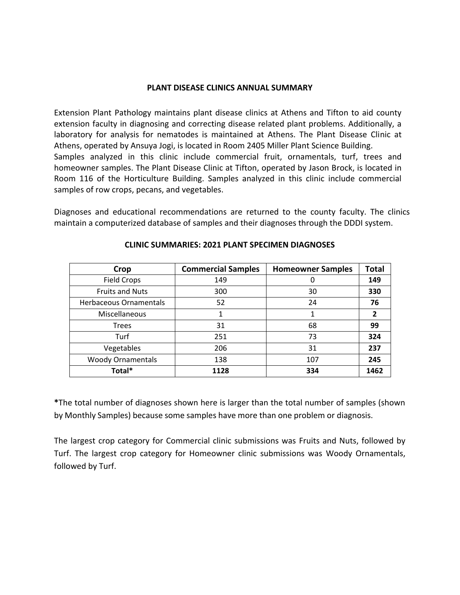#### **PLANT DISEASE CLINICS ANNUAL SUMMARY**

Extension Plant Pathology maintains plant disease clinics at Athens and Tifton to aid county extension faculty in diagnosing and correcting disease related plant problems. Additionally, a laboratory for analysis for nematodes is maintained at Athens. The Plant Disease Clinic at Athens, operated by Ansuya Jogi, is located in Room 2405 Miller Plant Science Building. Samples analyzed in this clinic include commercial fruit, ornamentals, turf, trees and homeowner samples. The Plant Disease Clinic at Tifton, operated by Jason Brock, is located in Room 116 of the Horticulture Building. Samples analyzed in this clinic include commercial samples of row crops, pecans, and vegetables.

Diagnoses and educational recommendations are returned to the county faculty. The clinics maintain a computerized database of samples and their diagnoses through the DDDI system.

| Crop                     | <b>Commercial Samples</b> | <b>Homeowner Samples</b> | <b>Total</b>   |
|--------------------------|---------------------------|--------------------------|----------------|
| <b>Field Crops</b>       | 149                       | 0                        | 149            |
| <b>Fruits and Nuts</b>   | 300                       | 30                       | 330            |
| Herbaceous Ornamentals   | 52                        | 24                       | 76             |
| Miscellaneous            |                           |                          | $\overline{2}$ |
| <b>Trees</b>             | 31                        | 68                       | 99             |
| Turf                     | 251                       | 73                       | 324            |
| Vegetables               | 206                       | 31                       | 237            |
| <b>Woody Ornamentals</b> | 138                       | 107                      | 245            |
| Total*                   | 1128                      | 334                      | 1462           |

#### **CLINIC SUMMARIES: 2021 PLANT SPECIMEN DIAGNOSES**

**\***The total number of diagnoses shown here is larger than the total number of samples (shown by Monthly Samples) because some samples have more than one problem or diagnosis.

The largest crop category for Commercial clinic submissions was Fruits and Nuts, followed by Turf. The largest crop category for Homeowner clinic submissions was Woody Ornamentals, followed by Turf.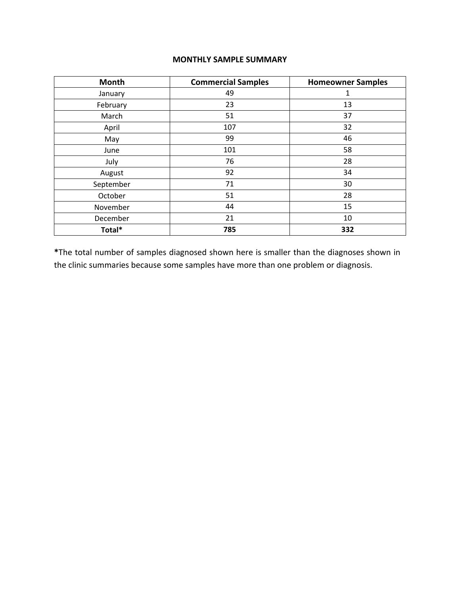### **MONTHLY SAMPLE SUMMARY**

| <b>Month</b> | <b>Commercial Samples</b> | <b>Homeowner Samples</b> |
|--------------|---------------------------|--------------------------|
| January      | 49                        | 1                        |
| February     | 23                        | 13                       |
| March        | 51                        | 37                       |
| April        | 107                       | 32                       |
| May          | 99                        | 46                       |
| June         | 101                       | 58                       |
| July         | 76                        | 28                       |
| August       | 92                        | 34                       |
| September    | 71                        | 30                       |
| October      | 51                        | 28                       |
| November     | 44                        | 15                       |
| December     | 21                        | 10                       |
| Total*       | 785                       | 332                      |

**\***The total number of samples diagnosed shown here is smaller than the diagnoses shown in the clinic summaries because some samples have more than one problem or diagnosis.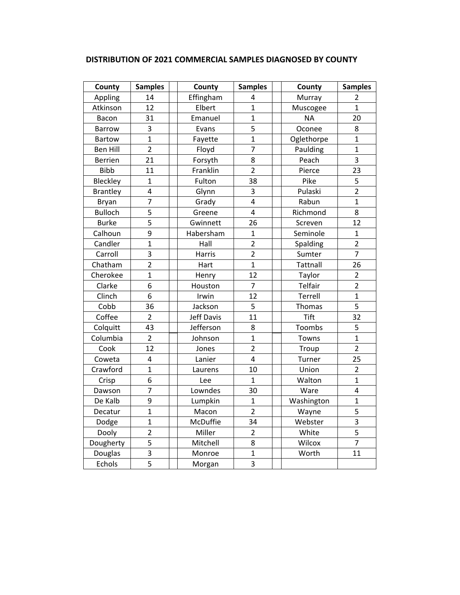| County          | <b>Samples</b>          | County     | <b>Samples</b>          | County          | <b>Samples</b> |
|-----------------|-------------------------|------------|-------------------------|-----------------|----------------|
| Appling         | 14                      | Effingham  | 4                       | Murray          | 2              |
| Atkinson        | 12                      | Elbert     | $\mathbf{1}$            | Muscogee        | 1              |
| Bacon           | 31                      | Emanuel    | $\mathbf{1}$            | <b>NA</b>       | 20             |
| <b>Barrow</b>   | 3                       | Evans      | 5                       | Oconee          | 8              |
| <b>Bartow</b>   | $\overline{1}$          | Fayette    | $\mathbf{1}$            | Oglethorpe      | $\mathbf{1}$   |
| <b>Ben Hill</b> | $\overline{2}$          | Floyd      | $\overline{7}$          | Paulding        | $\overline{1}$ |
| <b>Berrien</b>  | 21                      | Forsyth    | 8                       | Peach           | $\overline{3}$ |
| <b>Bibb</b>     | 11                      | Franklin   | $\overline{2}$          | Pierce          | 23             |
| Bleckley        | $\mathbf{1}$            | Fulton     | 38                      | Pike            | 5              |
| <b>Brantley</b> | $\overline{\mathbf{4}}$ | Glynn      | 3                       | Pulaski         | $\overline{2}$ |
| Bryan           | $\overline{7}$          | Grady      | $\overline{\mathbf{4}}$ | Rabun           | $\mathbf{1}$   |
| <b>Bulloch</b>  | 5                       | Greene     | $\overline{\mathbf{4}}$ | Richmond        | 8              |
| <b>Burke</b>    | 5                       | Gwinnett   | 26                      | Screven         | 12             |
| Calhoun         | 9                       | Habersham  | $\mathbf{1}$            | Seminole        | $\mathbf{1}$   |
| Candler         | $\overline{1}$          | Hall       | $\overline{2}$          | Spalding        | $\overline{2}$ |
| Carroll         | $\overline{\mathbf{3}}$ | Harris     | $\overline{2}$          | Sumter          | $\overline{7}$ |
| Chatham         | $\overline{2}$          | Hart       | $\mathbf{1}$            | <b>Tattnall</b> | 26             |
| Cherokee        | $\mathbf{1}$            | Henry      | 12                      | Taylor          | $\overline{2}$ |
| Clarke          | 6                       | Houston    | $\overline{7}$          | Telfair         | $\overline{2}$ |
| Clinch          | 6                       | Irwin      | 12                      | Terrell         | $\mathbf{1}$   |
| Cobb            | 36                      | Jackson    | 5                       | <b>Thomas</b>   | 5              |
| Coffee          | $\overline{2}$          | Jeff Davis | 11                      | <b>Tift</b>     | 32             |
| Colquitt        | 43                      | Jefferson  | 8                       | Toombs          | 5              |
| Columbia        | $\overline{2}$          | Johnson    | $\mathbf{1}$            | Towns           | $\mathbf{1}$   |
| Cook            | 12                      | Jones      | $\overline{2}$          | Troup           | $\overline{2}$ |
| Coweta          | $\overline{\mathbf{4}}$ | Lanier     | $\overline{4}$          | Turner          | 25             |
| Crawford        | $\overline{1}$          | Laurens    | 10                      | Union           | $\overline{2}$ |
| Crisp           | 6                       | Lee        | $\mathbf{1}$            | Walton          | $\mathbf{1}$   |
| Dawson          | $\overline{7}$          | Lowndes    | 30                      | Ware            | 4              |
| De Kalb         | $\overline{9}$          | Lumpkin    | $\mathbf{1}$            | Washington      | $\mathbf{1}$   |
| Decatur         | $\overline{1}$          | Macon      | $\overline{2}$          | Wayne           | $\overline{5}$ |
| Dodge           | $\mathbf{1}$            | McDuffie   | 34                      | Webster         | $\overline{3}$ |
| Dooly           | $\overline{2}$          | Miller     | $\overline{2}$          | White           | $\overline{5}$ |
| Dougherty       | 5                       | Mitchell   | 8                       | Wilcox          | $\overline{7}$ |
| Douglas         | $\overline{3}$          | Monroe     | $\mathbf{1}$            | Worth           | 11             |
| Echols          | 5                       | Morgan     | $\overline{\mathbf{3}}$ |                 |                |

# **DISTRIBUTION OF 2021 COMMERCIAL SAMPLES DIAGNOSED BY COUNTY**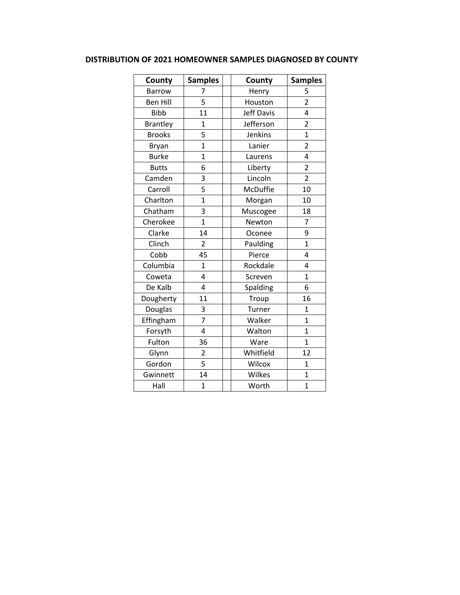## **DISTRIBUTION OF 2021 HOMEOWNER SAMPLES DIAGNOSED BY COUNTY**

| County          | <b>Samples</b> | County            | <b>Samples</b>          |
|-----------------|----------------|-------------------|-------------------------|
| <b>Barrow</b>   | 7              | Henry             | 5                       |
| <b>Ben Hill</b> | 5              | Houston           | $\overline{2}$          |
| <b>Bibb</b>     | 11             | <b>Jeff Davis</b> | 4                       |
| <b>Brantley</b> | $\overline{1}$ | Jefferson         | $\overline{2}$          |
| <b>Brooks</b>   | 5              | Jenkins           | $\overline{1}$          |
| Bryan           | $\overline{1}$ | Lanier            | $\overline{2}$          |
| <b>Burke</b>    | $\overline{1}$ | Laurens           | 4                       |
| <b>Butts</b>    | 6              | Liberty           | $\overline{\mathbf{c}}$ |
| Camden          | 3              | Lincoln           | $\overline{2}$          |
| Carroll         | 5              | McDuffie          | 10                      |
| Charlton        | $\overline{1}$ | Morgan            | 10                      |
| Chatham         | 3              | Muscogee          | 18                      |
| Cherokee        | $\overline{1}$ | Newton            | $\overline{7}$          |
| Clarke          | 14             | Oconee            | 9                       |
| Clinch          | $\overline{2}$ | Paulding          | $\overline{1}$          |
| Cobb            | 45             | Pierce            | 4                       |
| Columbia        | 1              | Rockdale          | 4                       |
| Coweta          | 4              | Screven           | $\overline{1}$          |
| De Kalb         | 4              | Spalding          | 6                       |
| Dougherty       | 11             | Troup             | 16                      |
| Douglas         | 3              | Turner            | $\overline{1}$          |
| Effingham       | $\overline{7}$ | Walker            | $\overline{1}$          |
| Forsyth         | 4              | Walton            | $\overline{1}$          |
| Fulton          | 36             | Ware              | $\overline{1}$          |
| Glynn           | $\overline{2}$ | Whitfield         | 12                      |
| Gordon          | 5              | Wilcox            | $\mathbf{1}$            |
| Gwinnett        | 14             | Wilkes            | $\overline{1}$          |
| Hall            | $\mathbf{1}$   | Worth             | $\overline{1}$          |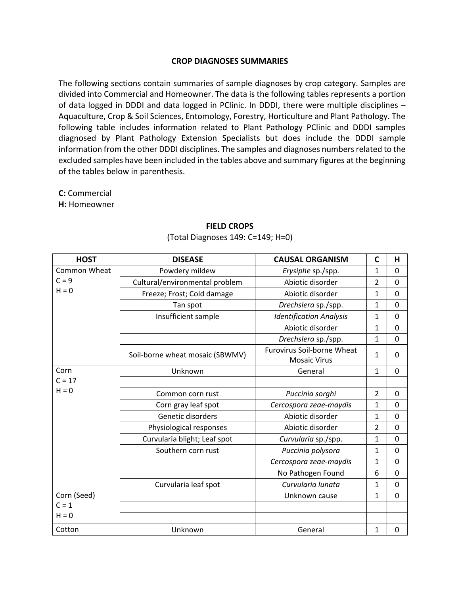#### **CROP DIAGNOSES SUMMARIES**

The following sections contain summaries of sample diagnoses by crop category. Samples are divided into Commercial and Homeowner. The data is the following tables represents a portion of data logged in DDDI and data logged in PClinic. In DDDI, there were multiple disciplines – Aquaculture, Crop & Soil Sciences, Entomology, Forestry, Horticulture and Plant Pathology. The following table includes information related to Plant Pathology PClinic and DDDI samples diagnosed by Plant Pathology Extension Specialists but does include the DDDI sample information from the other DDDI disciplines. The samples and diagnoses numbers related to the excluded samples have been included in the tables above and summary figures at the beginning of the tables below in parenthesis.

**C:** Commercial

**H:** Homeowner

| <b>HOST</b>      | <b>DISEASE</b>                  | <b>CAUSAL ORGANISM</b>            | $\mathsf{C}$   | H              |
|------------------|---------------------------------|-----------------------------------|----------------|----------------|
| Common Wheat     | Powdery mildew                  | Erysiphe sp./spp.                 | 1              | 0              |
| $C = 9$          | Cultural/environmental problem  | Abiotic disorder                  | $\overline{2}$ | 0              |
| $H = 0$          | Freeze; Frost; Cold damage      | Abiotic disorder                  | $\mathbf{1}$   | 0              |
|                  | Tan spot                        | Drechslera sp./spp.               | $\mathbf{1}$   | $\mathbf 0$    |
|                  | Insufficient sample             | <b>Identification Analysis</b>    | 1              | 0              |
|                  |                                 | Abiotic disorder                  | $\mathbf{1}$   | 0              |
|                  |                                 | Drechslera sp./spp.               | $\mathbf{1}$   | 0              |
|                  | Soil-borne wheat mosaic (SBWMV) | <b>Furovirus Soil-borne Wheat</b> | 1              | 0              |
|                  |                                 | <b>Mosaic Virus</b>               |                |                |
| Corn<br>$C = 17$ | Unknown                         | General                           | 1              | $\mathbf 0$    |
| $H = 0$          |                                 |                                   |                |                |
|                  | Common corn rust                | Puccinia sorghi                   | $\overline{2}$ | 0              |
|                  | Corn gray leaf spot             | Cercospora zeae-maydis            | 1              | $\mathbf 0$    |
|                  | Genetic disorders               | Abiotic disorder                  | 1              | 0              |
|                  | Physiological responses         | Abiotic disorder                  | $\overline{2}$ | $\overline{0}$ |
|                  | Curvularia blight; Leaf spot    | Curvularia sp./spp.               | 1              | $\overline{0}$ |
|                  | Southern corn rust              | Puccinia polysora                 | 1              | 0              |
|                  |                                 | Cercospora zeae-maydis            | $\mathbf{1}$   | $\overline{0}$ |
|                  |                                 | No Pathogen Found                 | 6              | 0              |
|                  | Curvularia leaf spot            | Curvularia lunata                 | 1              | 0              |
| Corn (Seed)      |                                 | Unknown cause                     | 1              | $\mathbf 0$    |
| $C = 1$          |                                 |                                   |                |                |
| $H = 0$          |                                 |                                   |                |                |
| Cotton           | Unknown                         | General                           | 1              | 0              |

## **FIELD CROPS** (Total Diagnoses 149: C=149; H=0)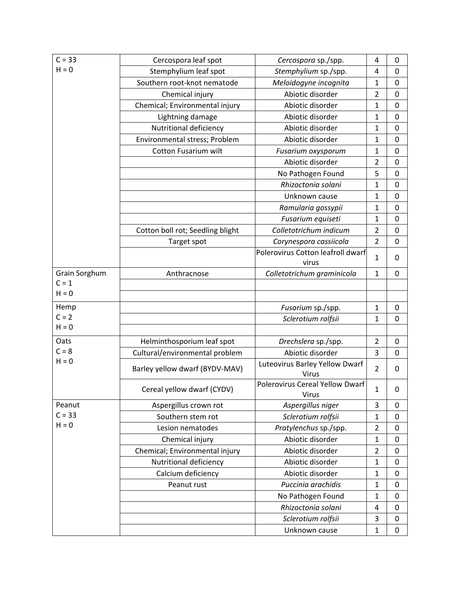| $C = 33$      | Cercospora leaf spot             | Cercospora sp./spp.                      | 4              | 0         |
|---------------|----------------------------------|------------------------------------------|----------------|-----------|
| $H = 0$       | Stemphylium leaf spot            | Stemphylium sp./spp.                     | 4              | 0         |
|               | Southern root-knot nematode      | Meloidogyne incognita                    | $\mathbf{1}$   | 0         |
|               | Chemical injury                  | Abiotic disorder                         | $\overline{2}$ | 0         |
|               | Chemical; Environmental injury   | Abiotic disorder                         | $\mathbf{1}$   | 0         |
|               | Lightning damage                 | Abiotic disorder                         | $\mathbf{1}$   | 0         |
|               | Nutritional deficiency           | Abiotic disorder                         | $\mathbf{1}$   | 0         |
|               | Environmental stress; Problem    | Abiotic disorder                         | $\mathbf{1}$   | 0         |
|               | Cotton Fusarium wilt             | Fusarium oxysporum                       | $\mathbf{1}$   | 0         |
|               |                                  | Abiotic disorder                         | $\overline{2}$ | 0         |
|               |                                  | No Pathogen Found                        | 5              | 0         |
|               |                                  | Rhizoctonia solani                       | $\mathbf{1}$   | 0         |
|               |                                  | Unknown cause                            | $\mathbf{1}$   | 0         |
|               |                                  | Ramularia gossypii                       | $\mathbf{1}$   | 0         |
|               |                                  | Fusarium equiseti                        | $\mathbf{1}$   | 0         |
|               | Cotton boll rot; Seedling blight | Colletotrichum indicum                   | $\overline{2}$ | 0         |
|               | Target spot                      | Corynespora cassiicola                   | $\overline{2}$ | 0         |
|               |                                  | Polerovirus Cotton leafroll dwarf        | $\mathbf{1}$   | 0         |
|               |                                  | virus                                    |                |           |
| Grain Sorghum | Anthracnose                      | Colletotrichum graminicola               | $\mathbf{1}$   | 0         |
| $C = 1$       |                                  |                                          |                |           |
| $H = 0$       |                                  |                                          |                |           |
| Hemp          |                                  | Fusarium sp./spp.                        | $\mathbf{1}$   | 0         |
| $C = 2$       |                                  | Sclerotium rolfsii                       | $\mathbf{1}$   | 0         |
| $H = 0$       |                                  |                                          |                |           |
| Oats          | Helminthosporium leaf spot       | Drechslera sp./spp.                      | $\overline{2}$ | 0         |
| $C = 8$       | Cultural/environmental problem   | Abiotic disorder                         | 3              | 0         |
| $H = 0$       | Barley yellow dwarf (BYDV-MAV)   | Luteovirus Barley Yellow Dwarf<br>Virus  | $\overline{2}$ | 0         |
|               | Cereal yellow dwarf (CYDV)       | Polerovirus Cereal Yellow Dwarf<br>Virus | 1              | 0         |
| Peanut        | Aspergillus crown rot            | Aspergillus niger                        | 3              | 0         |
| $C = 33$      | Southern stem rot                | Sclerotium rolfsii                       | $\mathbf{1}$   | $\pmb{0}$ |
| $H = 0$       | Lesion nematodes                 | Pratylenchus sp./spp.                    | $\overline{2}$ | $\pmb{0}$ |
|               | Chemical injury                  | Abiotic disorder                         | $\mathbf{1}$   | $\pmb{0}$ |
|               | Chemical; Environmental injury   | Abiotic disorder                         | $\overline{2}$ | 0         |
|               | Nutritional deficiency           | Abiotic disorder                         | $\mathbf{1}$   | 0         |
|               | Calcium deficiency               | Abiotic disorder                         | $\mathbf{1}$   | 0         |
|               | Peanut rust                      | Puccinia arachidis                       | $\mathbf{1}$   | 0         |
|               |                                  | No Pathogen Found                        | $\mathbf{1}$   | 0         |
|               |                                  | Rhizoctonia solani                       | 4              | 0         |
|               |                                  | Sclerotium rolfsii                       | 3              | 0         |
|               |                                  | Unknown cause                            | $\mathbf{1}$   | $\pmb{0}$ |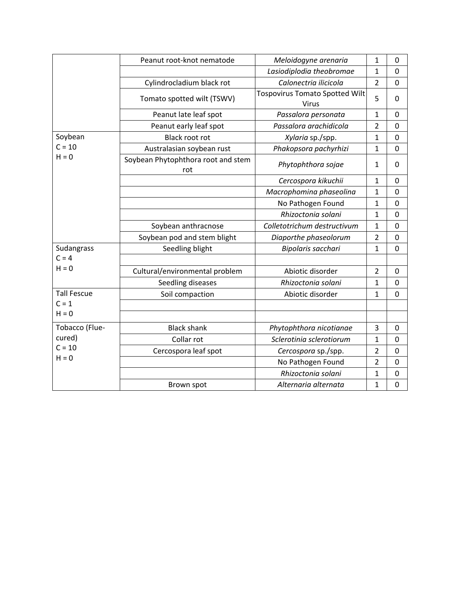|                    | Peanut root-knot nematode                 | Meloidogyne arenaria                           | $\mathbf{1}$   | 0                |
|--------------------|-------------------------------------------|------------------------------------------------|----------------|------------------|
|                    |                                           | Lasiodiplodia theobromae                       | $\mathbf{1}$   | 0                |
|                    | Cylindrocladium black rot                 | Calonectria ilicicola                          | $\overline{2}$ | $\mathbf 0$      |
|                    | Tomato spotted wilt (TSWV)                | <b>Tospovirus Tomato Spotted Wilt</b><br>Virus | 5              | 0                |
|                    | Peanut late leaf spot                     | Passalora personata                            | $\mathbf{1}$   | 0                |
|                    | Peanut early leaf spot                    | Passalora arachidicola                         | $\overline{2}$ | 0                |
| Soybean            | <b>Black root rot</b>                     | Xylaria sp./spp.                               | $\mathbf{1}$   | 0                |
| $C = 10$           | Australasian soybean rust                 | Phakopsora pachyrhizi                          | $\mathbf{1}$   | 0                |
| $H = 0$            | Soybean Phytophthora root and stem<br>rot | Phytophthora sojae                             | $\mathbf{1}$   | 0                |
|                    |                                           | Cercospora kikuchii                            | $\mathbf{1}$   | 0                |
|                    |                                           | Macrophomina phaseolina                        | $\mathbf{1}$   | 0                |
|                    |                                           | No Pathogen Found                              | $\mathbf{1}$   | 0                |
|                    |                                           | Rhizoctonia solani                             | $\mathbf{1}$   | 0                |
|                    | Soybean anthracnose                       | Colletotrichum destructivum                    | $\mathbf{1}$   | 0                |
|                    | Soybean pod and stem blight               | Diaporthe phaseolorum                          | $\overline{2}$ | 0                |
| Sudangrass         | Seedling blight                           | Bipolaris sacchari                             | $\mathbf{1}$   | 0                |
| $C = 4$            |                                           |                                                |                |                  |
| $H = 0$            | Cultural/environmental problem            | Abiotic disorder                               | $\overline{2}$ | 0                |
|                    | Seedling diseases                         | Rhizoctonia solani                             | $\mathbf{1}$   | $\overline{0}$   |
| <b>Tall Fescue</b> | Soil compaction                           | Abiotic disorder                               | $\mathbf{1}$   | $\overline{0}$   |
| $C = 1$            |                                           |                                                |                |                  |
| $H = 0$            |                                           |                                                |                |                  |
| Tobacco (Flue-     | <b>Black shank</b>                        | Phytophthora nicotianae                        | 3              | 0                |
| cured)             | Collar rot                                | Sclerotinia sclerotiorum                       | $\mathbf{1}$   | 0                |
| $C = 10$           | Cercospora leaf spot                      | Cercospora sp./spp.                            | $\overline{2}$ | 0                |
| $H = 0$            |                                           | No Pathogen Found                              | $\overline{2}$ | 0                |
|                    |                                           | Rhizoctonia solani                             | $\mathbf{1}$   | 0                |
|                    | Brown spot                                | Alternaria alternata                           | $\mathbf{1}$   | $\boldsymbol{0}$ |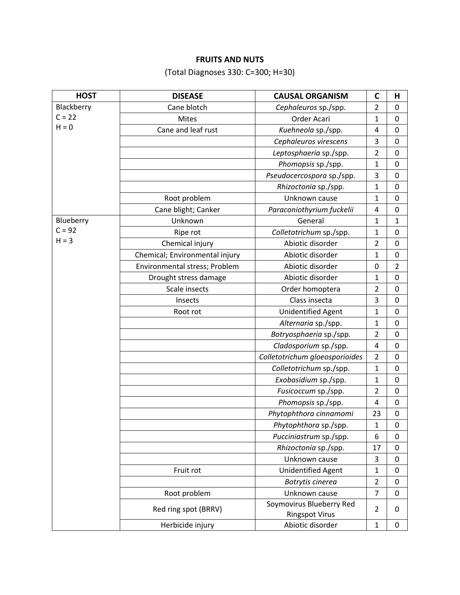# **FRUITS AND NUTS**

(Total Diagnoses 330: C=300; H=30)

| <b>HOST</b> | <b>DISEASE</b>                 | <b>CAUSAL ORGANISM</b>                            | C              | н                |
|-------------|--------------------------------|---------------------------------------------------|----------------|------------------|
| Blackberry  | Cane blotch                    | Cephaleuros sp./spp.                              | $\overline{2}$ | $\mathbf 0$      |
| $C = 22$    | <b>Mites</b>                   | Order Acari                                       | 1              | $\mathbf 0$      |
| $H = 0$     | Cane and leaf rust             | Kuehneola sp./spp.                                | $\overline{4}$ | $\mathbf 0$      |
|             |                                | Cephaleuros virescens                             | 3              | $\mathbf 0$      |
|             |                                | Leptosphaeria sp./spp.                            | $\overline{2}$ | $\mathbf 0$      |
|             |                                | Phomopsis sp./spp.                                | 1              | $\pmb{0}$        |
|             |                                | Pseudocercospora sp./spp.                         | 3              | 0                |
|             |                                | Rhizoctonia sp./spp.                              | $\mathbf 1$    | $\pmb{0}$        |
|             | Root problem                   | Unknown cause                                     | 1              | $\mathbf 0$      |
|             | Cane blight; Canker            | Paraconiothyrium fuckelii                         | $\overline{4}$ | $\pmb{0}$        |
| Blueberry   | Unknown                        | General                                           | 1              | 1                |
| $C = 92$    | Ripe rot                       | Colletotrichum sp./spp.                           | 1              | $\pmb{0}$        |
| $H = 3$     | Chemical injury                | Abiotic disorder                                  | $\overline{2}$ | $\pmb{0}$        |
|             | Chemical; Environmental injury | Abiotic disorder                                  | 1              | $\mathbf 0$      |
|             | Environmental stress; Problem  | Abiotic disorder                                  | 0              | 2                |
|             | Drought stress damage          | Abiotic disorder                                  | 1              | 0                |
|             | Scale insects                  | Order homoptera                                   | 2              | 0                |
|             | Insects                        | Class insecta                                     | 3              | $\mathbf 0$      |
|             | Root rot                       | Unidentified Agent                                | 1              | 0                |
|             |                                | Alternaria sp./spp.                               | $\mathbf{1}$   | $\mathbf 0$      |
|             |                                | Botryosphaeria sp./spp.                           | $\overline{2}$ | $\mathbf 0$      |
|             |                                | Cladosporium sp./spp.                             | $\overline{4}$ | $\mathbf 0$      |
|             |                                | Colletotrichum gloeosporioides                    | $\overline{2}$ | 0                |
|             |                                | Colletotrichum sp./spp.                           | 1              | $\boldsymbol{0}$ |
|             |                                | Exobasidium sp./spp.                              | 1              | $\boldsymbol{0}$ |
|             |                                | Fusicoccum sp./spp.                               | $\overline{2}$ | $\mathbf 0$      |
|             |                                | Phomopsis sp./spp.                                | 4              | $\mathbf 0$      |
|             |                                | Phytophthora cinnamomi                            | 23             | 0                |
|             |                                | Phytophthora sp./spp.                             | 1              | $\mathbf 0$      |
|             |                                | Pucciniastrum sp./spp.                            | 6              | 0                |
|             |                                | Rhizoctonia sp./spp.                              | 17             | 0                |
|             |                                | Unknown cause                                     | 3              | $\pmb{0}$        |
|             | Fruit rot                      | Unidentified Agent                                | 1              | $\mathbf 0$      |
|             |                                | Botrytis cinerea                                  | $\overline{2}$ | $\mathbf 0$      |
|             | Root problem                   | Unknown cause                                     | $\overline{7}$ | $\mathbf 0$      |
|             | Red ring spot (BRRV)           | Soymovirus Blueberry Red<br><b>Ringspot Virus</b> | $\overline{2}$ | 0                |
|             | Herbicide injury               | Abiotic disorder                                  | 1              | $\mathbf 0$      |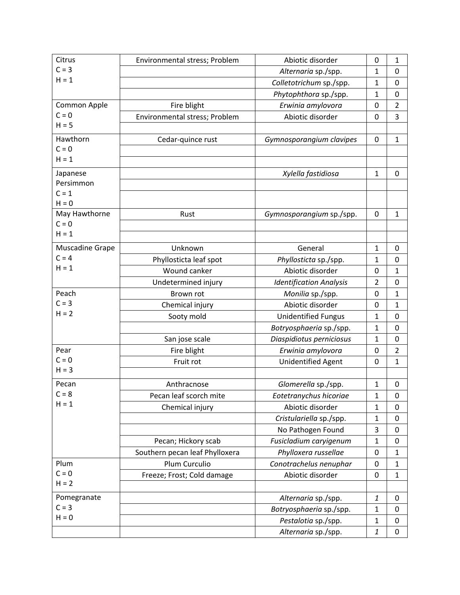| Citrus                   | Environmental stress; Problem  | Abiotic disorder               | 0              | 1              |
|--------------------------|--------------------------------|--------------------------------|----------------|----------------|
| $C = 3$                  |                                | Alternaria sp./spp.            | 1              | 0              |
| $H = 1$                  |                                | Colletotrichum sp./spp.        | 1              | 0              |
|                          |                                | Phytophthora sp./spp.          | $\mathbf{1}$   | 0              |
| Common Apple             | Fire blight                    | Erwinia amylovora              | 0              | $\overline{2}$ |
| $C = 0$                  | Environmental stress; Problem  | Abiotic disorder               | 0              | 3              |
| $H = 5$                  |                                |                                |                |                |
| Hawthorn                 | Cedar-quince rust              | Gymnosporangium clavipes       | 0              | $\mathbf{1}$   |
| $C = 0$                  |                                |                                |                |                |
| $H = 1$                  |                                |                                |                |                |
| Japanese                 |                                | Xylella fastidiosa             | $\mathbf{1}$   | 0              |
| Persimmon                |                                |                                |                |                |
| $C = 1$                  |                                |                                |                |                |
| $H = 0$                  |                                |                                |                |                |
| May Hawthorne<br>$C = 0$ | Rust                           | Gymnosporangium sp./spp.       | 0              | 1              |
| $H = 1$                  |                                |                                |                |                |
|                          |                                |                                |                |                |
| Muscadine Grape          | Unknown                        | General                        | 1              | 0              |
| $C = 4$<br>$H = 1$       | Phyllosticta leaf spot         | Phyllosticta sp./spp.          | 1              | 0              |
|                          | Wound canker                   | Abiotic disorder               | 0              | 1              |
|                          | Undetermined injury            | <b>Identification Analysis</b> | $\overline{2}$ | 0              |
| Peach                    | Brown rot                      | Monilia sp./spp.               | 0              | $\mathbf{1}$   |
| $C = 3$                  | Chemical injury                | Abiotic disorder               | 0              | $\mathbf{1}$   |
| $H = 2$                  | Sooty mold                     | <b>Unidentified Fungus</b>     | 1              | 0              |
|                          |                                | Botryosphaeria sp./spp.        | $\mathbf{1}$   | 0              |
|                          | San jose scale                 | Diaspidiotus perniciosus       | 1              | 0              |
| Pear                     | Fire blight                    | Erwinia amylovora              | 0              | $\overline{2}$ |
| $C = 0$                  | Fruit rot                      | Unidentified Agent             | 0              | $\mathbf{1}$   |
| $H = 3$                  |                                |                                |                |                |
| Pecan                    | Anthracnose                    | Glomerella sp./spp.            | $\mathbf{1}$   | 0              |
| $C = 8$                  | Pecan leaf scorch mite         | Eotetranychus hicoriae         | $\mathbf{1}$   | 0              |
| $H = 1$                  | Chemical injury                | Abiotic disorder               | 1              | 0              |
|                          |                                | Cristulariella sp./spp.        | $\mathbf{1}$   | 0              |
|                          |                                | No Pathogen Found              | 3              | 0              |
|                          | Pecan; Hickory scab            | Fusicladium caryigenum         | $\mathbf{1}$   | 0              |
|                          | Southern pecan leaf Phylloxera | Phylloxera russellae           | 0              | 1              |
| Plum                     | Plum Curculio                  | Conotrachelus nenuphar         | 0              | $\mathbf{1}$   |
| $C = 0$                  | Freeze; Frost; Cold damage     | Abiotic disorder               | 0              | $\mathbf{1}$   |
| $H = 2$                  |                                |                                |                |                |
| Pomegranate              |                                | Alternaria sp./spp.            | 1              | 0              |
| $C = 3$                  |                                | Botryosphaeria sp./spp.        | $\mathbf{1}$   | 0              |
| $H = 0$                  |                                | Pestalotia sp./spp.            | $\mathbf{1}$   | 0              |
|                          |                                | Alternaria sp./spp.            | $\mathbf{1}$   | 0              |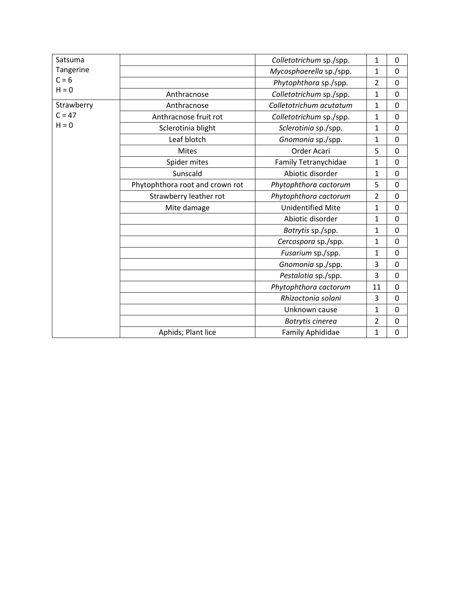| Satsuma    |                                 | Colletotrichum sp./spp.  | 1              | 0              |
|------------|---------------------------------|--------------------------|----------------|----------------|
| Tangerine  |                                 | Mycosphaerella sp./spp.  | $\mathbf{1}$   | $\overline{0}$ |
| $C = 6$    |                                 | Phytophthora sp./spp.    | $\overline{2}$ | 0              |
| $H = 0$    | Anthracnose                     | Colletotrichum sp./spp.  | $\mathbf{1}$   | 0              |
| Strawberry | Anthracnose                     | Colletotrichum acutatum  | $\mathbf{1}$   | 0              |
| $C = 47$   | Anthracnose fruit rot           | Colletotrichum sp./spp.  | $\mathbf{1}$   | 0              |
| $H = 0$    | Sclerotinia blight              | Sclerotinia sp./spp.     | $\mathbf{1}$   | $\overline{0}$ |
|            | Leaf blotch                     | Gnomonia sp./spp.        | $\mathbf{1}$   | 0              |
|            | <b>Mites</b>                    | Order Acari              | 5              | 0              |
|            | Spider mites                    | Family Tetranychidae     | $\mathbf{1}$   | 0              |
|            | Sunscald                        | Abiotic disorder         | $\mathbf{1}$   | 0              |
|            | Phytophthora root and crown rot | Phytophthora cactorum    | 5              | $\overline{0}$ |
|            | Strawberry leather rot          | Phytophthora cactorum    | $\overline{2}$ | 0              |
|            | Mite damage                     | <b>Unidentified Mite</b> | $\mathbf{1}$   | 0              |
|            |                                 | Abiotic disorder         | $\mathbf{1}$   | 0              |
|            |                                 | Botrytis sp./spp.        | $\mathbf{1}$   | 0              |
|            |                                 | Cercospora sp./spp.      | $\mathbf{1}$   | 0              |
|            |                                 | Fusarium sp./spp.        | $\mathbf{1}$   | 0              |
|            |                                 | Gnomonia sp./spp.        | 3              | 0              |
|            |                                 | Pestalotia sp./spp.      | 3              | 0              |
|            |                                 | Phytophthora cactorum    | 11             | 0              |
|            |                                 | Rhizoctonia solani       | 3              | 0              |
|            |                                 | Unknown cause            | $\mathbf{1}$   | 0              |
|            |                                 | Botrytis cinerea         | $\overline{2}$ | 0              |
|            | Aphids; Plant lice              | Family Aphididae         | 1              | 0              |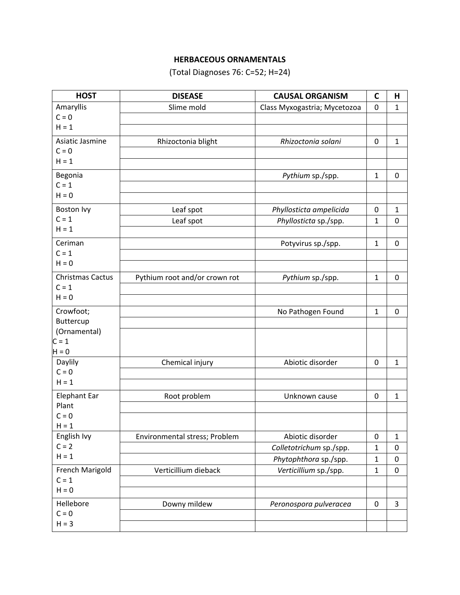# **HERBACEOUS ORNAMENTALS**

(Total Diagnoses 76: C=52; H=24)

| <b>HOST</b>             | <b>DISEASE</b>                | <b>CAUSAL ORGANISM</b>       | $\mathbf C$  | Н            |
|-------------------------|-------------------------------|------------------------------|--------------|--------------|
| Amaryllis               | Slime mold                    | Class Myxogastria; Mycetozoa | $\mathbf 0$  | 1            |
| $C = 0$                 |                               |                              |              |              |
| $H = 1$                 |                               |                              |              |              |
| Asiatic Jasmine         | Rhizoctonia blight            | Rhizoctonia solani           | 0            | 1            |
| $C = 0$                 |                               |                              |              |              |
| $H = 1$                 |                               |                              |              |              |
| Begonia                 |                               | Pythium sp./spp.             | $\mathbf{1}$ | $\mathbf 0$  |
| $C = 1$                 |                               |                              |              |              |
| $H = 0$                 |                               |                              |              |              |
| Boston Ivy              | Leaf spot                     | Phyllosticta ampelicida      | 0            | 1            |
| $C = 1$                 | Leaf spot                     | Phyllosticta sp./spp.        | $\mathbf{1}$ | $\mathbf 0$  |
| $H = 1$                 |                               |                              |              |              |
| Ceriman                 |                               | Potyvirus sp./spp.           | $\mathbf{1}$ | $\mathbf 0$  |
| $C = 1$                 |                               |                              |              |              |
| $H = 0$                 |                               |                              |              |              |
| <b>Christmas Cactus</b> | Pythium root and/or crown rot | Pythium sp./spp.             | $\mathbf{1}$ | 0            |
| $C = 1$                 |                               |                              |              |              |
| $H = 0$                 |                               |                              |              |              |
| Crowfoot;               |                               | No Pathogen Found            | $\mathbf{1}$ | $\mathbf 0$  |
| Buttercup               |                               |                              |              |              |
| (Ornamental)            |                               |                              |              |              |
| $C = 1$                 |                               |                              |              |              |
| $H = 0$                 |                               |                              |              |              |
| Daylily                 | Chemical injury               | Abiotic disorder             | 0            | $\mathbf{1}$ |
| $C = 0$                 |                               |                              |              |              |
| $H = 1$                 |                               |                              |              |              |
| <b>Elephant Ear</b>     | Root problem                  | Unknown cause                | 0            | $\mathbf{1}$ |
| Plant                   |                               |                              |              |              |
| $C = 0$<br>$H = 1$      |                               |                              |              |              |
| English Ivy             | Environmental stress; Problem | Abiotic disorder             | 0            | $\mathbf{1}$ |
| $C = 2$                 |                               | Colletotrichum sp./spp.      | 1            | 0            |
| $H = 1$                 |                               | Phytophthora sp./spp.        | 1            | 0            |
| French Marigold         | Verticillium dieback          | Verticillium sp./spp.        | 1            | $\mathbf 0$  |
| $C = 1$                 |                               |                              |              |              |
| $H = 0$                 |                               |                              |              |              |
| Hellebore               | Downy mildew                  | Peronospora pulveracea       | $\pmb{0}$    | 3            |
| $C = 0$                 |                               |                              |              |              |
| $H = 3$                 |                               |                              |              |              |
|                         |                               |                              |              |              |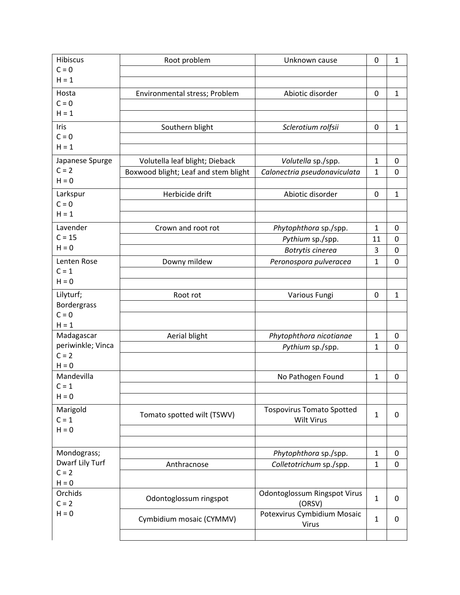| <b>Hibiscus</b>            | Root problem                         | Unknown cause                    | 0            | 1              |
|----------------------------|--------------------------------------|----------------------------------|--------------|----------------|
| $C = 0$                    |                                      |                                  |              |                |
| $H = 1$                    |                                      |                                  |              |                |
| Hosta                      | Environmental stress; Problem        | Abiotic disorder                 | 0            | $\mathbf{1}$   |
| $C = 0$                    |                                      |                                  |              |                |
| $H = 1$                    |                                      |                                  |              |                |
| Iris                       | Southern blight                      | Sclerotium rolfsii               | 0            | $\mathbf{1}$   |
| $C = 0$                    |                                      |                                  |              |                |
| $H = 1$                    |                                      |                                  |              |                |
| Japanese Spurge            | Volutella leaf blight; Dieback       | Volutella sp./spp.               | $\mathbf{1}$ | 0              |
| $C = 2$                    | Boxwood blight; Leaf and stem blight | Calonectria pseudonaviculata     | 1            | 0              |
| $H = 0$                    |                                      |                                  |              |                |
| Larkspur                   | Herbicide drift                      | Abiotic disorder                 | 0            | $\mathbf{1}$   |
| $C = 0$                    |                                      |                                  |              |                |
| $H = 1$                    |                                      |                                  |              |                |
| Lavender                   | Crown and root rot                   | Phytophthora sp./spp.            | $\mathbf{1}$ | $\mathbf 0$    |
| $C = 15$                   |                                      | Pythium sp./spp.                 | 11           | 0              |
| $H = 0$                    |                                      | Botrytis cinerea                 | 3            | $\mathbf 0$    |
| Lenten Rose                | Downy mildew                         | Peronospora pulveracea           | 1            | $\mathbf 0$    |
| $C = 1$                    |                                      |                                  |              |                |
| $H = 0$                    |                                      |                                  |              |                |
| Lilyturf;                  | Root rot                             | Various Fungi                    | 0            | $\mathbf{1}$   |
| Bordergrass                |                                      |                                  |              |                |
| $C = 0$                    |                                      |                                  |              |                |
| $H = 1$                    |                                      |                                  |              |                |
| Madagascar                 | Aerial blight                        | Phytophthora nicotianae          | $\mathbf{1}$ | $\mathbf 0$    |
| periwinkle; Vinca          |                                      | Pythium sp./spp.                 | $\mathbf{1}$ | $\overline{0}$ |
| $C = 2$                    |                                      |                                  |              |                |
| $H = 0$                    |                                      |                                  |              |                |
| Mandevilla                 |                                      | No Pathogen Found                | $\mathbf{1}$ | $\mathbf 0$    |
| $C = 1$                    |                                      |                                  |              |                |
| $H = 0$                    |                                      |                                  |              |                |
| Marigold                   | Tomato spotted wilt (TSWV)           | <b>Tospovirus Tomato Spotted</b> | $\mathbf{1}$ | $\mathbf 0$    |
| $C = 1$                    |                                      | <b>Wilt Virus</b>                |              |                |
| $H = 0$                    |                                      |                                  |              |                |
|                            |                                      |                                  |              |                |
| Mondograss;                |                                      | Phytophthora sp./spp.            | $\mathbf{1}$ | 0              |
| Dwarf Lily Turf<br>$C = 2$ | Anthracnose                          | Colletotrichum sp./spp.          | 1            | $\mathbf 0$    |
| $H = 0$                    |                                      |                                  |              |                |
| Orchids                    |                                      | Odontoglossum Ringspot Virus     |              |                |
| $C = 2$                    | Odontoglossum ringspot               | (ORSV)                           | $\mathbf{1}$ | 0              |
| $H = 0$                    |                                      | Potexvirus Cymbidium Mosaic      |              |                |
|                            | Cymbidium mosaic (CYMMV)             | Virus                            | 1            | 0              |
|                            |                                      |                                  |              |                |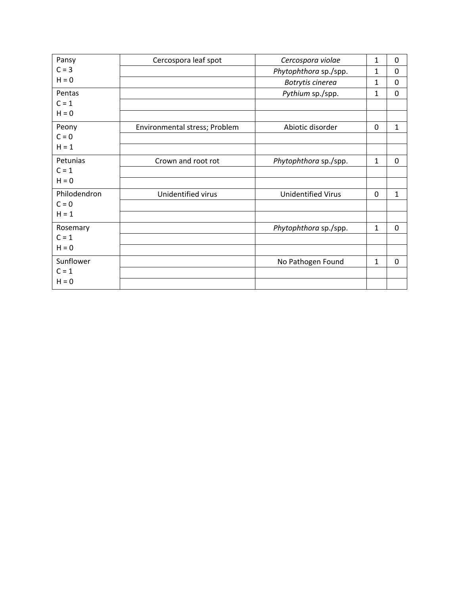| Pansy        | Cercospora leaf spot          | Cercospora violae         | 1            | 0            |
|--------------|-------------------------------|---------------------------|--------------|--------------|
| $C = 3$      |                               | Phytophthora sp./spp.     | $\mathbf{1}$ | $\mathbf 0$  |
| $H = 0$      |                               | Botrytis cinerea          | 1            | 0            |
| Pentas       |                               | Pythium sp./spp.          | $\mathbf{1}$ | 0            |
| $C = 1$      |                               |                           |              |              |
| $H = 0$      |                               |                           |              |              |
| Peony        | Environmental stress; Problem | Abiotic disorder          | $\Omega$     | $\mathbf{1}$ |
| $C = 0$      |                               |                           |              |              |
| $H = 1$      |                               |                           |              |              |
| Petunias     | Crown and root rot            | Phytophthora sp./spp.     | $\mathbf{1}$ | 0            |
| $C = 1$      |                               |                           |              |              |
| $H = 0$      |                               |                           |              |              |
| Philodendron | Unidentified virus            | <b>Unidentified Virus</b> | $\mathbf 0$  | $\mathbf{1}$ |
| $C = 0$      |                               |                           |              |              |
| $H = 1$      |                               |                           |              |              |
| Rosemary     |                               | Phytophthora sp./spp.     | $\mathbf{1}$ | 0            |
| $C = 1$      |                               |                           |              |              |
| $H = 0$      |                               |                           |              |              |
| Sunflower    |                               | No Pathogen Found         | $\mathbf{1}$ | 0            |
| $C = 1$      |                               |                           |              |              |
| $H = 0$      |                               |                           |              |              |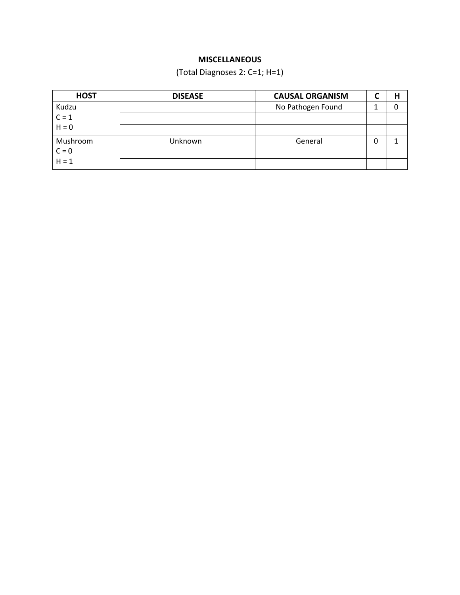# **MISCELLANEOUS**

(Total Diagnoses 2: C=1; H=1)

| <b>HOST</b>      | <b>DISEASE</b> | <b>CAUSAL ORGANISM</b> |   |  |
|------------------|----------------|------------------------|---|--|
| Kudzu            |                | No Pathogen Found      |   |  |
| $C = 1$          |                |                        |   |  |
| $H = 0$          |                |                        |   |  |
| Mushroom         | Unknown        | General                | 0 |  |
| $C = 0$<br>H = 1 |                |                        |   |  |
|                  |                |                        |   |  |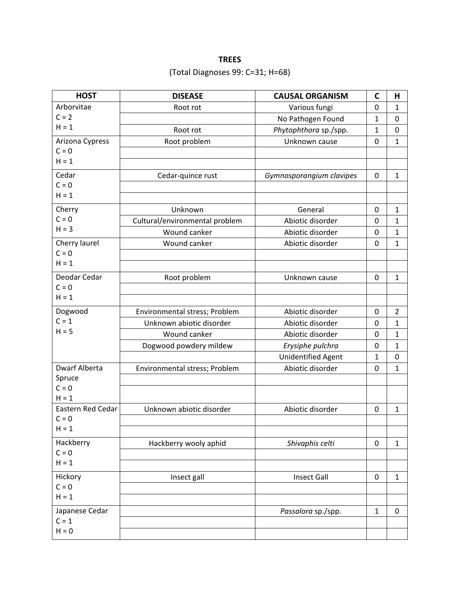# **TREES**

# (Total Diagnoses 99: C=31; H=68)

| <b>HOST</b>       | <b>DISEASE</b>                 | <b>CAUSAL ORGANISM</b>    | $\mathbf c$  | н                |
|-------------------|--------------------------------|---------------------------|--------------|------------------|
| Arborvitae        | Root rot                       | Various fungi             | 0            | 1                |
| $C = 2$           |                                | No Pathogen Found         | 1            | $\pmb{0}$        |
| $H = 1$           | Root rot                       | Phytophthora sp./spp.     | 1            | $\boldsymbol{0}$ |
| Arizona Cypress   | Root problem                   | Unknown cause             | $\mathbf 0$  | 1                |
| $C = 0$           |                                |                           |              |                  |
| $H = 1$           |                                |                           |              |                  |
| Cedar             | Cedar-quince rust              | Gymnosporangium clavipes  | 0            | $\mathbf{1}$     |
| $C = 0$           |                                |                           |              |                  |
| $H = 1$           |                                |                           |              |                  |
| Cherry            | Unknown                        | General                   | 0            | 1                |
| $C = 0$           | Cultural/environmental problem | Abiotic disorder          | 0            | $\mathbf 1$      |
| $H = 3$           | Wound canker                   | Abiotic disorder          | 0            | 1                |
| Cherry laurel     | Wound canker                   | Abiotic disorder          | 0            | $\mathbf{1}$     |
| $C = 0$           |                                |                           |              |                  |
| $H = 1$           |                                |                           |              |                  |
| Deodar Cedar      | Root problem                   | Unknown cause             | 0            | $\mathbf{1}$     |
| $C = 0$           |                                |                           |              |                  |
| $H = 1$           |                                |                           |              |                  |
| Dogwood           | Environmental stress; Problem  | Abiotic disorder          | 0            | 2                |
| $C = 1$           | Unknown abiotic disorder       | Abiotic disorder          | 0            | 1                |
| $H = 5$           | Wound canker                   | Abiotic disorder          | 0            | 1                |
|                   | Dogwood powdery mildew         | Erysiphe pulchra          | 0            | 1                |
|                   |                                | <b>Unidentified Agent</b> | 1            | 0                |
| Dwarf Alberta     | Environmental stress; Problem  | Abiotic disorder          | 0            | $\mathbf{1}$     |
| Spruce<br>$C = 0$ |                                |                           |              |                  |
| $H = 1$           |                                |                           |              |                  |
| Eastern Red Cedar | Unknown abiotic disorder       | Abiotic disorder          | 0            | $\mathbf{1}$     |
| $C = 0$           |                                |                           |              |                  |
| $H = 1$           |                                |                           |              |                  |
| Hackberry         | Hackberry wooly aphid          | Shivaphis celti           | 0            | 1                |
| $C = 0$           |                                |                           |              |                  |
| $H = 1$           |                                |                           |              |                  |
| Hickory           | Insect gall                    | <b>Insect Gall</b>        | 0            | $\mathbf{1}$     |
| $C = 0$           |                                |                           |              |                  |
| $H = 1$           |                                |                           |              |                  |
| Japanese Cedar    |                                | Passalora sp./spp.        | $\mathbf{1}$ | $\mathbf 0$      |
| $C = 1$           |                                |                           |              |                  |
| $H = 0$           |                                |                           |              |                  |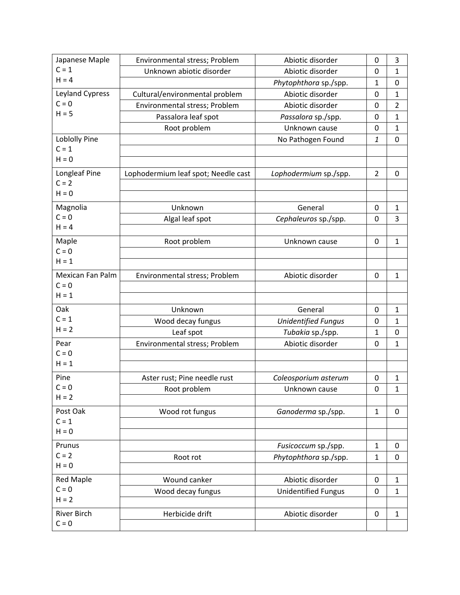| Japanese Maple       | Environmental stress; Problem       | Abiotic disorder           | 0              | 3              |
|----------------------|-------------------------------------|----------------------------|----------------|----------------|
| $C = 1$              | Unknown abiotic disorder            | Abiotic disorder           | 0              | $\mathbf{1}$   |
| $H = 4$              |                                     | Phytophthora sp./spp.      | 1              | 0              |
| Leyland Cypress      | Cultural/environmental problem      | Abiotic disorder           | 0              | $\mathbf{1}$   |
| $C = 0$              | Environmental stress; Problem       | Abiotic disorder           | 0              | $\overline{2}$ |
| $H = 5$              | Passalora leaf spot                 | Passalora sp./spp.         | 0              | $\mathbf{1}$   |
|                      | Root problem                        | Unknown cause              | 0              | 1              |
| <b>Loblolly Pine</b> |                                     | No Pathogen Found          | 1              | 0              |
| $C = 1$              |                                     |                            |                |                |
| $H = 0$              |                                     |                            |                |                |
| Longleaf Pine        | Lophodermium leaf spot; Needle cast | Lophodermium sp./spp.      | $\overline{2}$ | 0              |
| $C = 2$              |                                     |                            |                |                |
| $H = 0$              |                                     |                            |                |                |
| Magnolia             | Unknown                             | General                    | 0              | $\mathbf{1}$   |
| $C = 0$              | Algal leaf spot                     | Cephaleuros sp./spp.       | 0              | 3              |
| $H = 4$              |                                     |                            |                |                |
| Maple                | Root problem                        | Unknown cause              | 0              | 1              |
| $C = 0$              |                                     |                            |                |                |
| $H = 1$              |                                     |                            |                |                |
| Mexican Fan Palm     | Environmental stress; Problem       | Abiotic disorder           | 0              | $\mathbf{1}$   |
| $C = 0$              |                                     |                            |                |                |
| $H = 1$              |                                     |                            |                |                |
| Oak                  | Unknown                             | General                    | 0              | $\mathbf{1}$   |
| $C = 1$              | Wood decay fungus                   | <b>Unidentified Fungus</b> | 0              | 1              |
| $H = 2$              | Leaf spot                           | Tubakia sp./spp.           | $\mathbf{1}$   | 0              |
| Pear                 | Environmental stress; Problem       | Abiotic disorder           | 0              | $\mathbf{1}$   |
| $C = 0$              |                                     |                            |                |                |
| $H = 1$              |                                     |                            |                |                |
| Pine                 | Aster rust; Pine needle rust        | Coleosporium asterum       | 0              | $\mathbf{1}$   |
| $C = 0$<br>$H = 2$   | Root problem                        | Unknown cause              | 0              | 1              |
|                      |                                     |                            |                |                |
| Post Oak             | Wood rot fungus                     | Ganoderma sp./spp.         | $\mathbf{1}$   | 0              |
| $C = 1$<br>$H = 0$   |                                     |                            |                |                |
|                      |                                     |                            |                |                |
| Prunus               |                                     | Fusicoccum sp./spp.        | $\mathbf{1}$   | 0              |
| $C = 2$<br>$H = 0$   | Root rot                            | Phytophthora sp./spp.      | $\mathbf{1}$   | 0              |
|                      |                                     |                            |                |                |
| <b>Red Maple</b>     | Wound canker                        | Abiotic disorder           | 0              | 1              |
| $C = 0$<br>$H = 2$   | Wood decay fungus                   | <b>Unidentified Fungus</b> | $\mathbf 0$    | $\mathbf{1}$   |
|                      |                                     |                            |                |                |
| River Birch          | Herbicide drift                     | Abiotic disorder           | 0              | $\mathbf{1}$   |
| $C = 0$              |                                     |                            |                |                |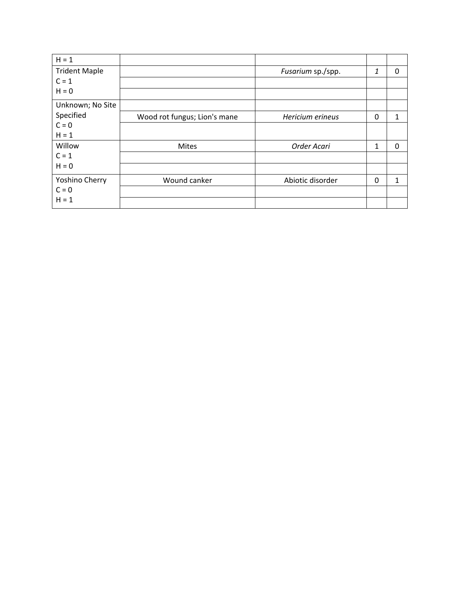| $H = 1$              |                              |                   |              |          |
|----------------------|------------------------------|-------------------|--------------|----------|
| <b>Trident Maple</b> |                              | Fusarium sp./spp. | 1            | 0        |
| $C = 1$              |                              |                   |              |          |
| $H = 0$              |                              |                   |              |          |
| Unknown; No Site     |                              |                   |              |          |
| Specified            | Wood rot fungus; Lion's mane | Hericium erineus  | 0            | 1        |
| $C = 0$              |                              |                   |              |          |
| $H = 1$              |                              |                   |              |          |
| Willow               | <b>Mites</b>                 | Order Acari       | $\mathbf{1}$ | $\Omega$ |
| $C = 1$              |                              |                   |              |          |
| $H = 0$              |                              |                   |              |          |
| Yoshino Cherry       | Wound canker                 | Abiotic disorder  | $\Omega$     | 1        |
| $C = 0$              |                              |                   |              |          |
| $H = 1$              |                              |                   |              |          |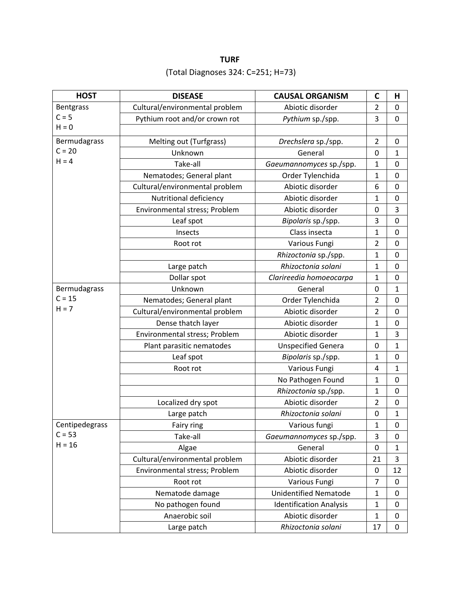# **TURF** (Total Diagnoses 324: C=251; H=73)

| <b>HOST</b>    | <b>DISEASE</b>                 | <b>CAUSAL ORGANISM</b>         | $\mathbf C$             | н                |
|----------------|--------------------------------|--------------------------------|-------------------------|------------------|
| Bentgrass      | Cultural/environmental problem | Abiotic disorder               | $\overline{2}$          | 0                |
| $C = 5$        | Pythium root and/or crown rot  | Pythium sp./spp.               | 3                       | $\pmb{0}$        |
| $H = 0$        |                                |                                |                         |                  |
| Bermudagrass   | Melting out (Turfgrass)        | Drechslera sp./spp.            | $\overline{2}$          | 0                |
| $C = 20$       | Unknown                        | General                        | 0                       | 1                |
| $H = 4$        | Take-all                       | Gaeumannomyces sp./spp.        | 1                       | 0                |
|                | Nematodes; General plant       | Order Tylenchida               | 1                       | $\mathbf 0$      |
|                | Cultural/environmental problem | Abiotic disorder               | 6                       | $\boldsymbol{0}$ |
|                | Nutritional deficiency         | Abiotic disorder               | 1                       | $\boldsymbol{0}$ |
|                | Environmental stress; Problem  | Abiotic disorder               | 0                       | 3                |
|                | Leaf spot                      | Bipolaris sp./spp.             | 3                       | $\mathbf 0$      |
|                | Insects                        | Class insecta                  | 1                       | $\mathbf 0$      |
|                | Root rot                       | Various Fungi                  | $\overline{\mathbf{c}}$ | $\boldsymbol{0}$ |
|                |                                | Rhizoctonia sp./spp.           | 1                       | $\mathbf 0$      |
|                | Large patch                    | Rhizoctonia solani             | 1                       | $\mathbf 0$      |
|                | Dollar spot                    | Clarireedia homoeocarpa        | 1                       | $\mathbf 0$      |
| Bermudagrass   | Unknown                        | General                        | 0                       | 1                |
| $C = 15$       | Nematodes; General plant       | Order Tylenchida               | 2                       | $\mathbf 0$      |
| $H = 7$        | Cultural/environmental problem | Abiotic disorder               | $\overline{2}$          | 0                |
|                | Dense thatch layer             | Abiotic disorder               | $\mathbf{1}$            | $\mathbf 0$      |
|                | Environmental stress; Problem  | Abiotic disorder               | 1                       | 3                |
|                | Plant parasitic nematodes      | <b>Unspecified Genera</b>      | 0                       | 1                |
|                | Leaf spot                      | Bipolaris sp./spp.             | 1                       | $\pmb{0}$        |
|                | Root rot                       | Various Fungi                  | 4                       | 1                |
|                |                                | No Pathogen Found              | 1                       | $\pmb{0}$        |
|                |                                | Rhizoctonia sp./spp.           | 1                       | $\mathbf 0$      |
|                | Localized dry spot             | Abiotic disorder               | $\overline{2}$          | $\pmb{0}$        |
|                | Large patch                    | Rhizoctonia solani             | 0                       | 1                |
| Centipedegrass | Fairy ring                     | Various fungi                  | 1                       | $\Omega$         |
| $C = 53$       | Take-all                       | Gaeumannomyces sp./spp.        | 3                       | 0                |
| $H = 16$       | Algae                          | General                        | 0                       | 1                |
|                | Cultural/environmental problem | Abiotic disorder               | 21                      | 3                |
|                | Environmental stress; Problem  | Abiotic disorder               | 0                       | 12               |
|                | Root rot                       | Various Fungi                  | 7                       | 0                |
|                | Nematode damage                | <b>Unidentified Nematode</b>   | $\mathbf{1}$            | $\mathbf 0$      |
|                | No pathogen found              | <b>Identification Analysis</b> | 1                       | 0                |
|                | Anaerobic soil                 | Abiotic disorder               | $\mathbf{1}$            | 0                |
|                | Large patch                    | Rhizoctonia solani             | 17                      | $\boldsymbol{0}$ |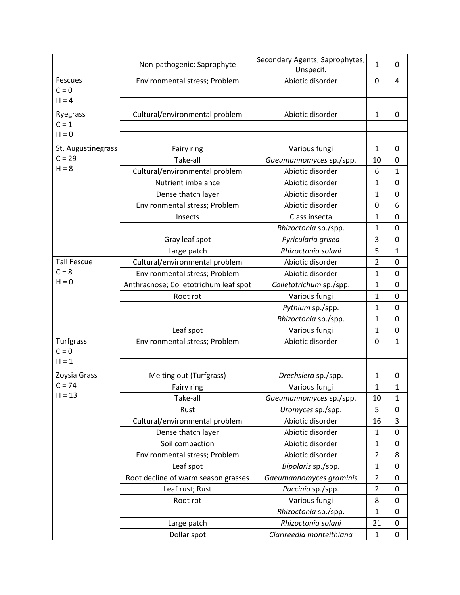|                    | Non-pathogenic; Saprophyte            | Secondary Agents; Saprophytes;<br>Unspecif. | 1                       | 0                |
|--------------------|---------------------------------------|---------------------------------------------|-------------------------|------------------|
| <b>Fescues</b>     | Environmental stress; Problem         | Abiotic disorder                            | 0                       | 4                |
| $C = 0$            |                                       |                                             |                         |                  |
| $H = 4$            |                                       |                                             |                         |                  |
| Ryegrass           | Cultural/environmental problem        | Abiotic disorder                            | 1                       | 0                |
| $C = 1$            |                                       |                                             |                         |                  |
| $H = 0$            |                                       |                                             |                         |                  |
| St. Augustinegrass | Fairy ring                            | Various fungi                               | $\mathbf{1}$            | $\mathbf 0$      |
| $C = 29$           | Take-all                              | Gaeumannomyces sp./spp.                     | 10                      | $\pmb{0}$        |
| $H = 8$            | Cultural/environmental problem        | Abiotic disorder                            | 6                       | $\mathbf 1$      |
|                    | Nutrient imbalance                    | Abiotic disorder                            | 1                       | $\pmb{0}$        |
|                    | Dense thatch layer                    | Abiotic disorder                            | 1                       | 0                |
|                    | Environmental stress; Problem         | Abiotic disorder                            | 0                       | 6                |
|                    | Insects                               | Class insecta                               | 1                       | $\boldsymbol{0}$ |
|                    |                                       | Rhizoctonia sp./spp.                        | 1                       | $\pmb{0}$        |
|                    | Gray leaf spot                        | Pyricularia grisea                          | 3                       | 0                |
|                    | Large patch                           | Rhizoctonia solani                          | 5                       | 1                |
| <b>Tall Fescue</b> | Cultural/environmental problem        | Abiotic disorder                            | $\overline{\mathbf{c}}$ | $\pmb{0}$        |
| $C = 8$            | Environmental stress; Problem         | Abiotic disorder                            | 1                       | $\mathbf 0$      |
| $H = 0$            | Anthracnose; Colletotrichum leaf spot | Colletotrichum sp./spp.                     | 1                       | 0                |
|                    | Root rot                              | Various fungi                               | 1                       | 0                |
|                    |                                       | Pythium sp./spp.                            | 1                       | 0                |
|                    |                                       | Rhizoctonia sp./spp.                        | 1                       | 0                |
|                    | Leaf spot                             | Various fungi                               | 1                       | 0                |
| Turfgrass          | Environmental stress; Problem         | Abiotic disorder                            | 0                       | 1                |
| $C = 0$            |                                       |                                             |                         |                  |
| $H = 1$            |                                       |                                             |                         |                  |
| Zoysia Grass       | Melting out (Turfgrass)               | Drechslera sp./spp.                         | 1                       | 0                |
| $C = 74$           | Fairy ring                            | Various fungi                               | 1                       | 1                |
| $H = 13$           | Take-all                              | Gaeumannomyces sp./spp.                     | 10                      | 1                |
|                    | Rust                                  | Uromyces sp./spp.                           | 5                       | 0                |
|                    | Cultural/environmental problem        | Abiotic disorder                            | 16                      | 3                |
|                    | Dense thatch layer                    | Abiotic disorder                            | $\mathbf{1}$            | 0                |
|                    | Soil compaction                       | Abiotic disorder                            | 1                       | 0                |
|                    | Environmental stress; Problem         | Abiotic disorder                            | $\overline{2}$          | 8                |
|                    | Leaf spot                             | Bipolaris sp./spp.                          | 1                       | 0                |
|                    | Root decline of warm season grasses   | Gaeumannomyces graminis                     | $\overline{2}$          | 0                |
|                    | Leaf rust; Rust                       | Puccinia sp./spp.                           | $\overline{2}$          | 0                |
|                    | Root rot                              | Various fungi                               | 8                       | $\pmb{0}$        |
|                    |                                       | Rhizoctonia sp./spp.                        | 1                       | $\mathbf 0$      |
|                    | Large patch                           | Rhizoctonia solani                          | 21                      | 0                |
|                    | Dollar spot                           | Clarireedia monteithiana                    | $\mathbf{1}$            | 0                |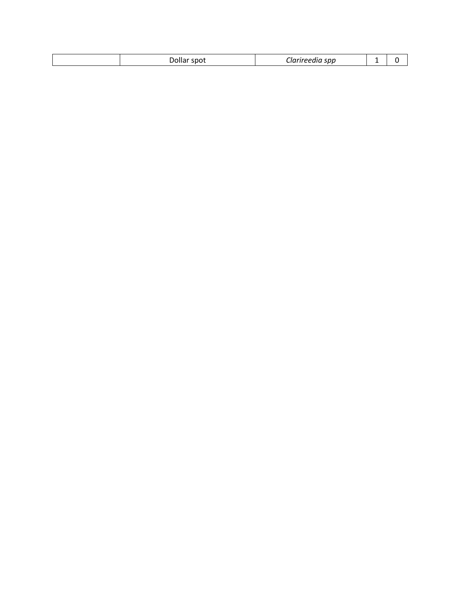|  | . JOUAL<br>m<br>ponu | ---<br>svv<br>---------- |  |  |
|--|----------------------|--------------------------|--|--|
|--|----------------------|--------------------------|--|--|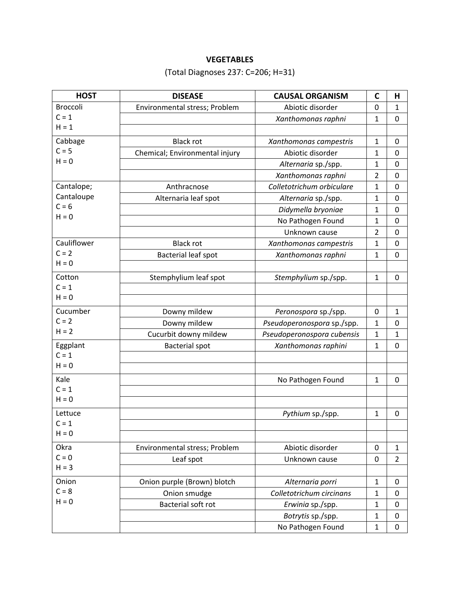## **VEGETABLES**

# (Total Diagnoses 237: C=206; H=31)

| <b>HOST</b>     | <b>DISEASE</b>                 | <b>CAUSAL ORGANISM</b>     | $\mathbf c$    | н              |
|-----------------|--------------------------------|----------------------------|----------------|----------------|
| <b>Broccoli</b> | Environmental stress; Problem  | Abiotic disorder           | 0              | 1              |
| $C = 1$         |                                | Xanthomonas raphni         | 1              | 0              |
| $H = 1$         |                                |                            |                |                |
| Cabbage         | <b>Black rot</b>               | Xanthomonas campestris     | 1              | $\mathbf 0$    |
| $C = 5$         | Chemical; Environmental injury | Abiotic disorder           | 1              | 0              |
| $H = 0$         |                                | Alternaria sp./spp.        | 1              | $\mathbf 0$    |
|                 |                                | Xanthomonas raphni         | 2              | 0              |
| Cantalope;      | Anthracnose                    | Colletotrichum orbiculare  | 1              | $\mathbf 0$    |
| Cantaloupe      | Alternaria leaf spot           | Alternaria sp./spp.        | 1              | $\pmb{0}$      |
| $C = 6$         |                                | Didymella bryoniae         | 1              | $\mathbf 0$    |
| $H = 0$         |                                | No Pathogen Found          | 1              | 0              |
|                 |                                | Unknown cause              | $\overline{2}$ | $\mathbf 0$    |
| Cauliflower     | <b>Black rot</b>               | Xanthomonas campestris     | 1              | 0              |
| $C = 2$         | <b>Bacterial leaf spot</b>     | Xanthomonas raphni         | 1              | $\mathbf 0$    |
| $H = 0$         |                                |                            |                |                |
| Cotton          | Stemphylium leaf spot          | Stemphylium sp./spp.       | 1              | $\mathbf 0$    |
| $C = 1$         |                                |                            |                |                |
| $H = 0$         |                                |                            |                |                |
| Cucumber        | Downy mildew                   | Peronospora sp./spp.       | $\mathbf 0$    | 1              |
| $C = 2$         | Downy mildew                   | Pseudoperonospora sp./spp. | 1              | $\mathbf 0$    |
| $H = 2$         | Cucurbit downy mildew          | Pseudoperonospora cubensis | $\mathbf 1$    | 1              |
| Eggplant        | <b>Bacterial spot</b>          | Xanthomonas raphini        | 1              | $\mathbf 0$    |
| $C = 1$         |                                |                            |                |                |
| $H = 0$         |                                |                            |                |                |
| Kale            |                                | No Pathogen Found          | 1              | 0              |
| $C = 1$         |                                |                            |                |                |
| $H = 0$         |                                |                            |                |                |
| Lettuce         |                                | Pythium sp./spp.           | 1              | $\mathbf 0$    |
| $C = 1$         |                                |                            |                |                |
| $H = 0$         |                                |                            |                |                |
| Okra            | Environmental stress; Problem  | Abiotic disorder           | 0              | $\mathbf{1}$   |
| $C = 0$         | Leaf spot                      | Unknown cause              | 0              | $\overline{2}$ |
| $H = 3$         |                                |                            |                |                |
| Onion           | Onion purple (Brown) blotch    | Alternaria porri           | $\mathbf{1}$   | 0              |
| $C = 8$         | Onion smudge                   | Colletotrichum circinans   | $\mathbf{1}$   | 0              |
| $H = 0$         | Bacterial soft rot             | Erwinia sp./spp.           | 1              | 0              |
|                 |                                | Botrytis sp./spp.          | $\mathbf{1}$   | 0              |
|                 |                                | No Pathogen Found          | $\mathbf{1}$   | 0              |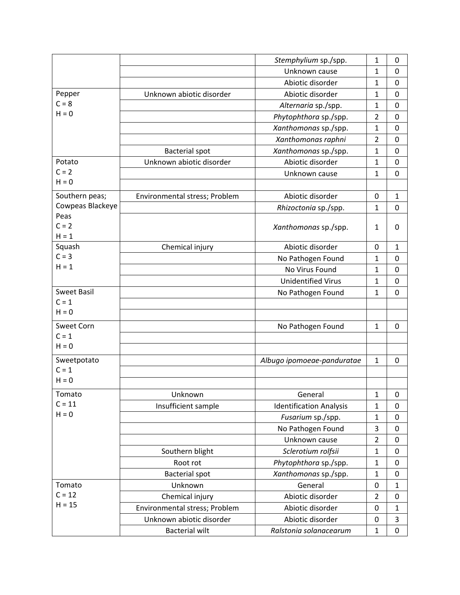|                    |                               | Stemphylium sp./spp.           | 1              | 0              |
|--------------------|-------------------------------|--------------------------------|----------------|----------------|
|                    |                               | Unknown cause                  | $\mathbf{1}$   | 0              |
|                    |                               | Abiotic disorder               | 1              | 0              |
| Pepper             | Unknown abiotic disorder      | Abiotic disorder               | 1              | $\mathbf 0$    |
| $C = 8$            |                               | Alternaria sp./spp.            | 1              | 0              |
| $H = 0$            |                               | Phytophthora sp./spp.          | 2              | $\mathbf 0$    |
|                    |                               | Xanthomonas sp./spp.           | 1              | 0              |
|                    |                               | Xanthomonas raphni             | $\overline{2}$ | 0              |
|                    | <b>Bacterial spot</b>         | Xanthomonas sp./spp.           | 1              | $\mathbf 0$    |
| Potato             | Unknown abiotic disorder      | Abiotic disorder               | 1              | $\mathbf 0$    |
| $C = 2$            |                               | Unknown cause                  | 1              | $\mathbf 0$    |
| $H = 0$            |                               |                                |                |                |
| Southern peas;     | Environmental stress; Problem | Abiotic disorder               | 0              | 1              |
| Cowpeas Blackeye   |                               | Rhizoctonia sp./spp.           | 1              | 0              |
| Peas               |                               |                                |                |                |
| $C = 2$<br>$H = 1$ |                               | Xanthomonas sp./spp.           | 1              | 0              |
| Squash             | Chemical injury               | Abiotic disorder               | 0              | 1              |
| $C = 3$            |                               | No Pathogen Found              | 1              | 0              |
| $H = 1$            |                               | No Virus Found                 | 1              | $\mathbf 0$    |
|                    |                               | <b>Unidentified Virus</b>      | 1              | 0              |
| <b>Sweet Basil</b> |                               | No Pathogen Found              | 1              | $\overline{0}$ |
| $C = 1$            |                               |                                |                |                |
| $H = 0$            |                               |                                |                |                |
| Sweet Corn         |                               | No Pathogen Found              | 1              | 0              |
| $C = 1$            |                               |                                |                |                |
| $H = 0$            |                               |                                |                |                |
| Sweetpotato        |                               | Albugo ipomoeae-panduratae     | 1              | $\mathbf 0$    |
| $C = 1$            |                               |                                |                |                |
| $H = 0$            |                               |                                |                |                |
| Tomato             | Unknown                       | General                        | 1              | 0              |
| $C = 11$           | Insufficient sample           | <b>Identification Analysis</b> | 1              | 0              |
| $H = 0$            |                               | Fusarium sp./spp.              | 1              | 0              |
|                    |                               | No Pathogen Found              | 3              | 0              |
|                    |                               | Unknown cause                  | $\overline{2}$ | $\mathbf 0$    |
|                    | Southern blight               | Sclerotium rolfsii             | 1              | 0              |
|                    | Root rot                      | Phytophthora sp./spp.          | 1              | $\mathbf 0$    |
|                    | <b>Bacterial spot</b>         | Xanthomonas sp./spp.           | 1              | 0              |
| Tomato             | Unknown                       | General                        | 0              | 1              |
| $C = 12$           | Chemical injury               | Abiotic disorder               | $\overline{2}$ | 0              |
| $H = 15$           | Environmental stress; Problem | Abiotic disorder               | $\mathbf 0$    | $\mathbf{1}$   |
|                    | Unknown abiotic disorder      | Abiotic disorder               | $\pmb{0}$      | 3              |
|                    | <b>Bacterial wilt</b>         | Ralstonia solanacearum         | 1              | 0              |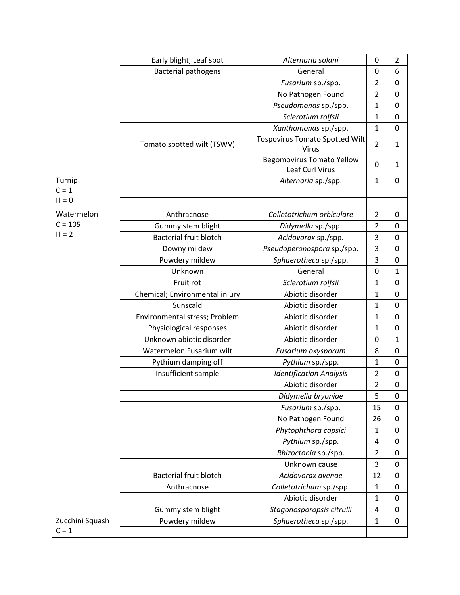|                    | Early blight; Leaf spot        | Alternaria solani                     | 0                       | $\overline{2}$   |
|--------------------|--------------------------------|---------------------------------------|-------------------------|------------------|
|                    | <b>Bacterial pathogens</b>     | General                               | 0                       | 6                |
|                    |                                | Fusarium sp./spp.                     | $\overline{2}$          | $\pmb{0}$        |
|                    |                                | No Pathogen Found                     | $\overline{\mathbf{c}}$ | $\mathbf 0$      |
|                    |                                | Pseudomonas sp./spp.                  | 1                       | $\mathbf 0$      |
|                    |                                | Sclerotium rolfsii                    | 1                       | $\pmb{0}$        |
|                    |                                | Xanthomonas sp./spp.                  | 1                       | $\mathbf 0$      |
|                    | Tomato spotted wilt (TSWV)     | <b>Tospovirus Tomato Spotted Wilt</b> | 2                       | $\mathbf{1}$     |
|                    |                                | <b>Virus</b>                          |                         |                  |
|                    |                                | <b>Begomovirus Tomato Yellow</b>      | 0                       | $\mathbf{1}$     |
|                    |                                | Leaf Curl Virus                       |                         |                  |
| Turnip             |                                | Alternaria sp./spp.                   | 1                       | 0                |
| $C = 1$<br>$H = 0$ |                                |                                       |                         |                  |
|                    |                                |                                       |                         |                  |
| Watermelon         | Anthracnose                    | Colletotrichum orbiculare             | $\overline{2}$          | 0                |
| $C = 105$          | Gummy stem blight              | Didymella sp./spp.                    | $\overline{2}$          | 0                |
| $H = 2$            | <b>Bacterial fruit blotch</b>  | Acidovorax sp./spp.                   | 3                       | $\mathbf 0$      |
|                    | Downy mildew                   | Pseudoperonospora sp./spp.            | 3                       | $\mathbf 0$      |
|                    | Powdery mildew                 | Sphaerotheca sp./spp.                 | 3                       | $\mathbf 0$      |
|                    | Unknown                        | General                               | 0                       | 1                |
|                    | Fruit rot                      | Sclerotium rolfsii                    | 1                       | $\mathbf 0$      |
|                    | Chemical; Environmental injury | Abiotic disorder                      | 1                       | 0                |
|                    | Sunscald                       | Abiotic disorder                      | 1                       | $\mathbf 0$      |
|                    | Environmental stress; Problem  | Abiotic disorder                      | 1                       | $\pmb{0}$        |
|                    | Physiological responses        | Abiotic disorder                      | 1                       | $\mathbf 0$      |
|                    | Unknown abiotic disorder       | Abiotic disorder                      | 0                       | 1                |
|                    | Watermelon Fusarium wilt       | Fusarium oxysporum                    | 8                       | $\boldsymbol{0}$ |
|                    | Pythium damping off            | Pythium sp./spp.                      | 1                       | $\boldsymbol{0}$ |
|                    | Insufficient sample            | <b>Identification Analysis</b>        | 2                       | $\pmb{0}$        |
|                    |                                | Abiotic disorder                      | $\overline{2}$          | $\boldsymbol{0}$ |
|                    |                                | Didymella bryoniae                    | 5                       | 0                |
|                    |                                | Fusarium sp./spp.                     | 15                      | 0                |
|                    |                                | No Pathogen Found                     | 26                      | 0                |
|                    |                                | Phytophthora capsici                  | 1                       | $\mathbf 0$      |
|                    |                                | Pythium sp./spp.                      | 4                       | 0                |
|                    |                                | Rhizoctonia sp./spp.                  | $\overline{2}$          | 0                |
|                    |                                | Unknown cause                         | 3                       | 0                |
|                    | <b>Bacterial fruit blotch</b>  | Acidovorax avenae                     | 12                      | 0                |
|                    | Anthracnose                    | Colletotrichum sp./spp.               | $\mathbf{1}$            | 0                |
|                    |                                | Abiotic disorder                      | $\mathbf{1}$            | $\mathbf 0$      |
|                    | Gummy stem blight              | Stagonosporopsis citrulli             | 4                       | 0                |
| Zucchini Squash    | Powdery mildew                 | Sphaerotheca sp./spp.                 | 1                       | $\mathbf 0$      |
| $C = 1$            |                                |                                       |                         |                  |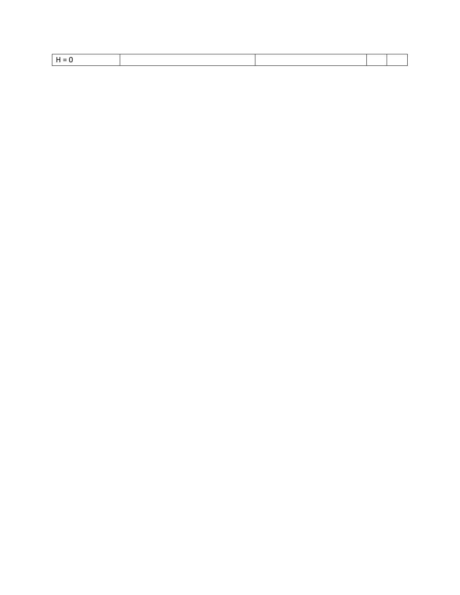|--|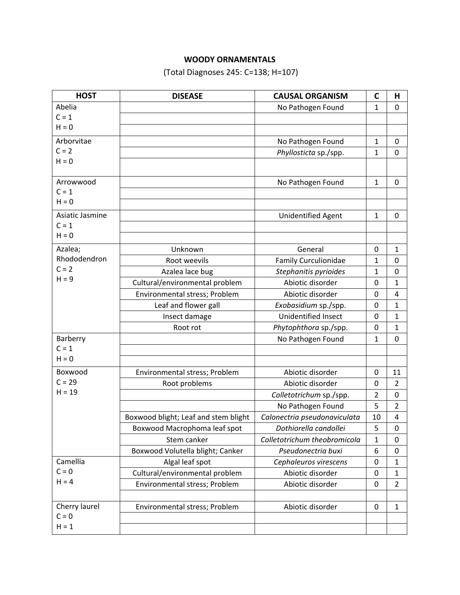# **WOODY ORNAMENTALS**

(Total Diagnoses 245: C=138; H=107)

| <b>HOST</b>     | <b>DISEASE</b>                       | <b>CAUSAL ORGANISM</b>       | C              | Н              |
|-----------------|--------------------------------------|------------------------------|----------------|----------------|
| Abelia          |                                      | No Pathogen Found            | 1              | 0              |
| $C = 1$         |                                      |                              |                |                |
| $H = 0$         |                                      |                              |                |                |
| Arborvitae      |                                      | No Pathogen Found            | 1              | 0              |
| $C = 2$         |                                      | Phyllosticta sp./spp.        | 1              | 0              |
| $H = 0$         |                                      |                              |                |                |
|                 |                                      |                              |                |                |
| Arrowwood       |                                      | No Pathogen Found            | 1              | 0              |
| $C = 1$         |                                      |                              |                |                |
| $H = 0$         |                                      |                              |                |                |
| Asiatic Jasmine |                                      | <b>Unidentified Agent</b>    | $\mathbf{1}$   | 0              |
| $C = 1$         |                                      |                              |                |                |
| $H = 0$         |                                      |                              |                |                |
| Azalea;         | Unknown                              | General                      | 0              | 1              |
| Rhododendron    | Root weevils                         | <b>Family Curculionidae</b>  | 1              | $\mathbf 0$    |
| $C = 2$         | Azalea lace bug                      | Stephanitis pyrioides        | 1              | 0              |
| $H = 9$         | Cultural/environmental problem       | Abiotic disorder             | $\mathbf 0$    | $\mathbf{1}$   |
|                 | Environmental stress; Problem        | Abiotic disorder             | 0              | $\overline{4}$ |
|                 | Leaf and flower gall                 | Exobasidium sp./spp.         | 0              | $\mathbf{1}$   |
|                 | Insect damage                        | Unidentified Insect          | 0              | 1              |
|                 | Root rot                             | Phytophthora sp./spp.        | 0              | 1              |
| Barberry        |                                      | No Pathogen Found            | 1              | $\mathbf 0$    |
| $C = 1$         |                                      |                              |                |                |
| $H = 0$         |                                      |                              |                |                |
| Boxwood         | Environmental stress; Problem        | Abiotic disorder             | 0              | 11             |
| $C = 29$        | Root problems                        | Abiotic disorder             | 0              | $\overline{2}$ |
| $H = 19$        |                                      | Colletotrichum sp./spp.      | $\overline{2}$ | 0              |
|                 |                                      | No Pathogen Found            | 5              | 2              |
|                 | Boxwood blight; Leaf and stem blight | Calonectria pseudonaviculata | 10             | 4              |
|                 | Boxwood Macrophoma leaf spot         | Dothiorella candollei        | 5              | 0              |
|                 | Stem canker                          | Colletotrichum theobromicola | 1              | 0              |
|                 | Boxwood Volutella blight; Canker     | Pseudonectria buxi           | 6              | 0              |
| Camellia        | Algal leaf spot                      | Cephaleuros virescens        | $\mathbf 0$    | 1              |
| $C = 0$         | Cultural/environmental problem       | Abiotic disorder             | 0              | $\mathbf{1}$   |
| $H = 4$         | Environmental stress; Problem        | Abiotic disorder             | 0              | $\overline{2}$ |
|                 |                                      |                              |                |                |
| Cherry laurel   | Environmental stress; Problem        | Abiotic disorder             | 0              | 1              |
| $C = 0$         |                                      |                              |                |                |
| $H = 1$         |                                      |                              |                |                |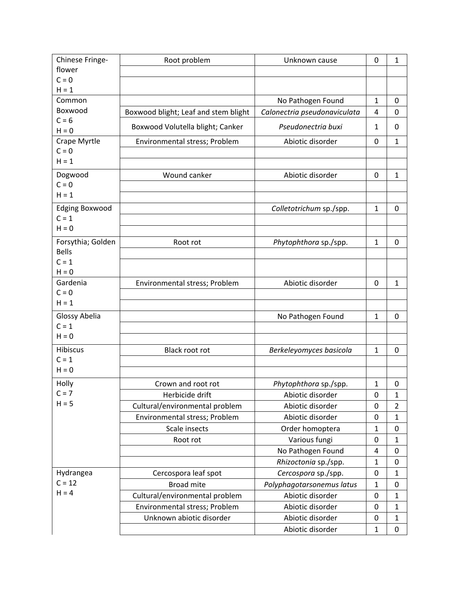| Chinese Fringe-       | Root problem                         | Unknown cause                | 0            | $\mathbf{1}$   |
|-----------------------|--------------------------------------|------------------------------|--------------|----------------|
| flower                |                                      |                              |              |                |
| $C = 0$               |                                      |                              |              |                |
| $H = 1$               |                                      |                              |              |                |
| Common                |                                      | No Pathogen Found            | 1            | 0              |
| Boxwood               | Boxwood blight; Leaf and stem blight | Calonectria pseudonaviculata | 4            | 0              |
| $C = 6$<br>$H = 0$    | Boxwood Volutella blight; Canker     | Pseudonectria buxi           | 1            | 0              |
| Crape Myrtle          | Environmental stress; Problem        | Abiotic disorder             | 0            | 1              |
| $C = 0$               |                                      |                              |              |                |
| $H = 1$               |                                      |                              |              |                |
| Dogwood               | Wound canker                         | Abiotic disorder             | 0            | $\mathbf{1}$   |
| $C = 0$               |                                      |                              |              |                |
| $H = 1$               |                                      |                              |              |                |
| <b>Edging Boxwood</b> |                                      | Colletotrichum sp./spp.      | 1            | 0              |
| $C = 1$               |                                      |                              |              |                |
| $H = 0$               |                                      |                              |              |                |
| Forsythia; Golden     | Root rot                             | Phytophthora sp./spp.        | $\mathbf{1}$ | 0              |
| <b>Bells</b>          |                                      |                              |              |                |
| $C = 1$               |                                      |                              |              |                |
| $H = 0$               |                                      |                              |              |                |
| Gardenia              | Environmental stress; Problem        | Abiotic disorder             | 0            | 1              |
| $C = 0$               |                                      |                              |              |                |
| $H = 1$               |                                      |                              |              |                |
| Glossy Abelia         |                                      | No Pathogen Found            | 1            | 0              |
| $C = 1$               |                                      |                              |              |                |
| $H = 0$               |                                      |                              |              |                |
| Hibiscus              | Black root rot                       | Berkeleyomyces basicola      | 1            | $\mathbf 0$    |
| $C = 1$               |                                      |                              |              |                |
| $H = 0$               |                                      |                              |              |                |
| Holly                 | Crown and root rot                   | Phytophthora sp./spp.        | 1            | 0              |
| $C = 7$               | Herbicide drift                      | Abiotic disorder             | 0            | 1              |
| $H = 5$               | Cultural/environmental problem       | Abiotic disorder             | 0            | $\overline{2}$ |
|                       | Environmental stress; Problem        | Abiotic disorder             | 0            | $\mathbf{1}$   |
|                       | Scale insects                        | Order homoptera              | 1            | $\mathbf 0$    |
|                       | Root rot                             | Various fungi                | 0            | 1              |
|                       |                                      | No Pathogen Found            | 4            | 0              |
|                       |                                      | Rhizoctonia sp./spp.         | 1            | 0              |
| Hydrangea             | Cercospora leaf spot                 | Cercospora sp./spp.          | 0            | $\mathbf{1}$   |
| $C = 12$              | <b>Broad mite</b>                    | Polyphagotarsonemus latus    | $\mathbf{1}$ | 0              |
| $H = 4$               | Cultural/environmental problem       | Abiotic disorder             | 0            | 1              |
|                       | Environmental stress; Problem        | Abiotic disorder             | 0            | 1              |
|                       | Unknown abiotic disorder             | Abiotic disorder             | 0            | 1              |
|                       |                                      |                              |              |                |
|                       |                                      | Abiotic disorder             | 1            | $\pmb{0}$      |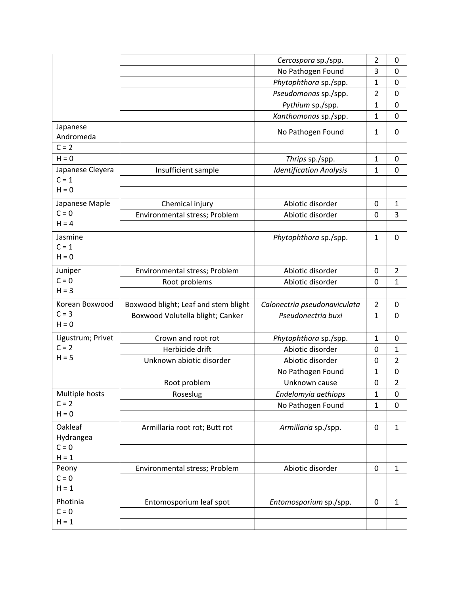|                             |                                      | Cercospora sp./spp.            | $\overline{2}$ | 0              |
|-----------------------------|--------------------------------------|--------------------------------|----------------|----------------|
|                             |                                      | No Pathogen Found              | 3              | 0              |
|                             |                                      | Phytophthora sp./spp.          | $\mathbf{1}$   | 0              |
|                             |                                      | Pseudomonas sp./spp.           | $\overline{2}$ | 0              |
|                             |                                      | Pythium sp./spp.               | $\mathbf{1}$   | $\mathbf 0$    |
|                             |                                      | Xanthomonas sp./spp.           | 1              | 0              |
| Japanese                    |                                      | No Pathogen Found              | $\mathbf{1}$   | 0              |
| Andromeda<br>$C = 2$        |                                      |                                |                |                |
| $H = 0$                     |                                      |                                |                |                |
|                             |                                      | Thrips sp./spp.                | $\mathbf{1}$   | $\mathbf 0$    |
| Japanese Cleyera<br>$C = 1$ | Insufficient sample                  | <b>Identification Analysis</b> | $\mathbf{1}$   | 0              |
| $H = 0$                     |                                      |                                |                |                |
|                             |                                      |                                |                |                |
| Japanese Maple<br>$C = 0$   | Chemical injury                      | Abiotic disorder               | 0              | 1              |
| $H = 4$                     | Environmental stress; Problem        | Abiotic disorder               | 0              | 3              |
|                             |                                      |                                |                |                |
| Jasmine                     |                                      | Phytophthora sp./spp.          | $\mathbf{1}$   | $\mathbf 0$    |
| $C = 1$                     |                                      |                                |                |                |
| $H = 0$                     |                                      |                                |                |                |
| Juniper                     | Environmental stress; Problem        | Abiotic disorder               | 0              | $\overline{2}$ |
| $C = 0$                     | Root problems                        | Abiotic disorder               | $\mathbf 0$    | $\mathbf{1}$   |
| $H = 3$                     |                                      |                                |                |                |
| Korean Boxwood              | Boxwood blight; Leaf and stem blight | Calonectria pseudonaviculata   | $\overline{2}$ | $\mathbf 0$    |
| $C = 3$                     | Boxwood Volutella blight; Canker     | Pseudonectria buxi             | $\mathbf{1}$   | 0              |
| $H = 0$                     |                                      |                                |                |                |
| Ligustrum; Privet           | Crown and root rot                   | Phytophthora sp./spp.          | $\mathbf{1}$   | $\mathbf 0$    |
| $C = 2$                     | Herbicide drift                      | Abiotic disorder               | 0              | $\mathbf{1}$   |
| $H = 5$                     | Unknown abiotic disorder             | Abiotic disorder               | 0              | $\overline{2}$ |
|                             |                                      | No Pathogen Found              | $\mathbf{1}$   | 0              |
|                             | Root problem                         | Unknown cause                  | 0              | $\overline{2}$ |
| Multiple hosts              | Roseslug                             | Endelomyia aethiops            | $\mathbf{1}$   | 0              |
| $C = 2$                     |                                      | No Pathogen Found              | $\mathbf{1}$   | 0              |
| $H = 0$                     |                                      |                                |                |                |
| Oakleaf                     | Armillaria root rot; Butt rot        | Armillaria sp./spp.            | $\mathbf 0$    | $\mathbf{1}$   |
| Hydrangea                   |                                      |                                |                |                |
| $C = 0$                     |                                      |                                |                |                |
| $H = 1$                     |                                      |                                |                |                |
| Peony                       | Environmental stress; Problem        | Abiotic disorder               | 0              | $\mathbf{1}$   |
| $C = 0$                     |                                      |                                |                |                |
| $H = 1$                     |                                      |                                |                |                |
| Photinia                    | Entomosporium leaf spot              | Entomosporium sp./spp.         | 0              | $\mathbf{1}$   |
| $C = 0$                     |                                      |                                |                |                |
| $H = 1$                     |                                      |                                |                |                |